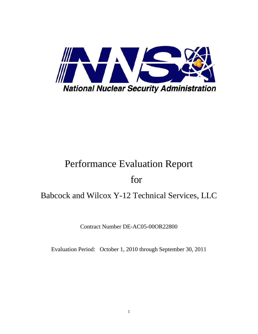

# Performance Evaluation Report

## for

## Babcock and Wilcox Y-12 Technical Services, LLC

Contract Number DE-AC05-00OR22800

Evaluation Period: October 1, 2010 through September 30, 2011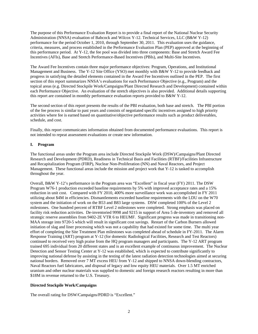The purpose of this Performance Evaluation Report is to provide a final report of the National Nuclear Security Administration (NNSA) evaluation of Babcock and Wilcox Y-12. Technical Services, LLC (B&W Y-12) performance for the period October 1, 2010, through September 30, 2011. This evaluation uses the guidance, criteria, measures, and process established in the Performance Evaluation Plan (PEP) approved at the beginning of this performance period. At Y-12, the fee pool was divided into three components: Base and Stretch Award Fee Incentives (AFIs), Base and Stretch Performance-Based Incentives (PBIs), and Multi-Site Incentives.

The Award Fee Incentives contain three major performance objectives: Program, Operations, and Institutional Management and Business. The Y-12 Site Office (YSO) met monthly with B&W Y-12 to provide feedback and progress in satisfying the detailed elements contained in the Award Fee Incentives outlined in the PEP. The first section of this report summarizes NNSA's evaluations for each Performance Objective (e.g., Program) and the topical areas (e.g. Directed Stockpile Work/Campaigns/Plant Directed Research and Development) contained within each Performance Objective. An evaluation of the stretch objectives is also provided. Additional details supporting this report are contained in monthly performance evaluation reports provided to B&W Y-12.

The second section of this report presents the results of the PBI evaluation, both base and stretch. The PBI portion of the fee process is similar to past years and consists of negotiated specific incentives assigned to high priority activities where fee is earned based on quantitative/objective performance results such as product deliverables, schedule, and cost.

Finally, this report communicates information obtained from documented performance evaluations. This report is not intended to repeat assessment evaluations or create new information.

## **I. Program**

The functional areas under the Program area include Directed Stockpile Work (DSW)/Campaigns/Plant Directed Research and Development (PDRD), Readiness in Technical Basis and Facilities (RTBF)/Facilities Infrastructure and Recapitalization Program (FIRP), Nuclear Non-Proliferation (NN) and Naval Reactors, and Project Management. These functional areas include the mission and project work that Y-12 is tasked to accomplish throughout the year.

Overall, B&W Y-12's performance in the Program area was "Excellent" in fiscal year (FY) 2011. The DSW Program W76-1 production exceeded baseline requirements by 5% with improved acceptance rates and a 15% reduction in unit cost. Compared with FY 2010, 400% more surveillance work was accomplished in FY 2011 utilizing about \$4M in efficiencies. Dismantlements exceeded baseline requirements with the LDU on the W70 system and the initiation of work on the B53 and B83 large systems. DSW completed 100% of the Level 2 milestones. One hundred percent of RTBF Level 2 milestones were completed. Strong emphasis was placed on facility risk reduction activities. De-inventoried 9998 and 9215 in support of Area 5 de-inventory and removed all strategic reserve assemblies from 9402-2E VTR 6 to HEUMF. Significant progress was made in transitioning non-MAA storage into 9720-5 which will result in significant cost savings. Restart of the Carbon Burners allowed initiation of slag and liner processing which was not a capability that had existed for some time. The multi year effort of completing the Site Treatment Plan milestones was completed ahead of schedule in FY-2011. The Alarm Response Training (ART) program at Y-12 (for domestic Radiological Facilities, Research and Test Reactors) continued to received very high praise from the HQ program managers and participants. The Y-12 ART program trained 695 individual from 20 different states and is an excellent example of continuous improvement. The Nuclear Detection and Sensor Testing Center at Y-12 was established, which is expected to contribute significantly to improving national defense by assisting in the testing of the latest radiation detection technologies aimed at securing national borders. Removed over 7 MT excess HEU from Y-12 and shipped to NNSA down-blending contractors, Naval Reactors fuel fabricators, and disposal of legacy and low equity HEU materials. Over 1.5 MT enriched uranium and other nuclear materials was supplied to domestic and foreign research reactors resulting in more than \$18M in revenue returned to the U.S. Treasury.

## **Directed Stockpile Work/Campaigns**

The overall rating for DSW/Campaigns/PDRD is "Excellent."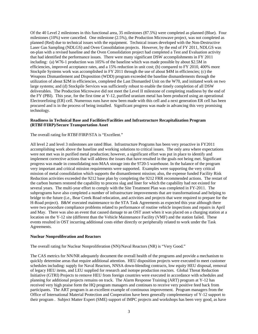Of the 40 Level 2 milestones in this functional area, 35 milestones (87.5%) were completed as planned (Blue). Four milestones (10%) were cancelled. One milestone (2.5%), the Production Microwave project, was not completed as planned (Red) due to technical issues with the equipment. Technical issues developed with the Non-Destructive Laser Gas Sampling (NDLGS) and Oven Consolidation projects. However, by the end of FY 2011, NDLGS was on-plan with a revised baseline and the Oven Consolidation project had completed a Test and Evaluation activity that had identified the performance issues. There were many significant DSW accomplishments in FY 2011 including: (a) W76-1 production was 105% of the baseline which was made possible by about \$2.5M in efficiencies, improved acceptance rates, and a 15% reduction in unit cost; (b) compared to FY 2010, 400% more Stockpile Systems work was accomplished in FY 2011 through the use of about \$4M in efficiencies; (c) the Weapons Dismantlement and Disposition (WDD) program exceeded the baseline dismantlements through the utilization of about \$2M in efficiencies, completed the Last Dismantled Unit on the W70, and initiated work on two large systems; and (d) Stockpile Services was sufficiently robust to enable the timely completion of all DSW deliverables. The Production Microwave did not meet the Level II milestone of completing readiness by the end of the FY (PBI). This year, for the first time at Y-12, purified uranium metal has been produced using an operational Electrorefining (ER) cell. Numerous runs have now been made with this cell and a next generation ER cell has been procured and is in the process of being installed. Significant progress was made in advancing this very promising technology.

#### **Readiness in Technical Base and Facilities/Facilities and Infrastructure Recapitalization Program (RTBF/FIRP)/Secure Transportation Asset**

The overall rating for RTBF/FIRP/STA is "Excellent."

All level 2 and level 3 milestones are rated Blue. Infrastructure Programs has been very proactive in FY2011 accomplishing work above the baseline and working solutions to critical issues. The only area where expectations were not met was in purified metal production; however, a significant effort was put in place to identify and implement corrective actions that will address the issues that have resulted in the goals not being met. Significant progress was made in consolidating non-MAA storage into the 9720-5 warehouse. In the balance of the program very important and critical mission requirements were supported. Examples were supporting the very critical mission of metal consolidation which supports the dismantlement mission; also, the expense funded Facility Risk Reduction activities exceeded the 9212 base plan by completing the 9212 FRR recommended actions. The restart of the carbon burners restored the capability to process slag and liner for which the capability had not existed for several years. The multi-year effort to comply with the Site Treatment Plan was completed in FY-2011. The subprograms have also completed a number of infrastructure improvements that are transformational and helping to bridge to the future (i.e., Bear Creek Road relocation, and activities and projects that were required to prepare for the H-Road project). B&W executed maintenance to the STA Task Agreements as expected this year although there were two procedure compliance problems related to performance of routine vehicle inspections and repairs in April and May. There was also an event that caused damage to an OST asset when it was placed on a charging station at a location on the Y-12 site (different than the Vehicle Maintenance Facility (VMF) and the station failed. These events resulted in OST incurring additional costs either directly or peripherally related to work under the Task Agreements.

#### **Nuclear Nonproliferation and Reactors**

The overall rating for Nuclear Nonproliferation (NN)/Naval Reactors (NR) is "Very Good."

The CAS metrics for NN/NR adequately document the overall health of the programs and provide a mechanism to quickly determine areas that require additional attention. HEU disposition projects were executed to meet customer schedules including: supply for Naval Reactors, NNSA down-blending contracts, low equity HEU disposal, removal of legacy HEU items, and LEU supplied for research and isotope production reactors. Global Threat Reduction Initiative (GTRI) Projects to remove HEU from foreign countries were executed in accordance with schedules and planning for additional projects remains on track. The Alarm Response Training (ART) program at Y-12 has received very high praise form the HQ program managers and continues to receive very positive feed back from participants. The ART program is an excellent example of continuous improvement. Program managers from the Office of International Material Protection and Cooperation have been generally complementary of Y-12 support to their program . Subject Matter Expert (SME) support of IMPC projects and workshops has been very good, as have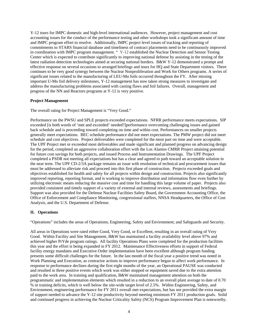Y-12 tours for IMPC domestic and high-level international audiences. However, project management and cost accounting issues for the conduct of the performance testing and other workshops took a significant amount of time and IMPC program effort to resolve. Additionally, IMPC project level issues of tracking and reporting of commitments to STARS financial database and timeliness of contract placements need to be continuously improved in coordination with IMPC program management. " Y-12 established the Nuclear Detection and Sensor Testing Center which is expected to contribute significantly to improving national defense by assisting in the testing of the latest radiation detection technologies aimed at securing national borders. B&W Y-12 demonstrated a prompt and effective response on several occasions to arranged briefings and tours for HQ and State Department visitors. There continues to be very good synergy between the Nuclear Nonproliferation and Work for Others programs. A series of significant issues related to the manufacturing of LEU-Mo foils occurred throughout the FY. After missing important U-Mo foil delivery milestones, Y-12 management has now taken strong measures to investigate and address the manufacturing problems associated with casting flaws and foil failures. Overall, management and progress of the NN and Reactors programs at Y-12 is very positive.

#### **Project Management**

The overall rating for Project Management is "Very Good."

Performance on the PWSU and SPLE projects exceeded expectations. NFRR performance meets expectations. SIP exceeded [is both words of 'met and exceeded' needed?]performance overcoming challenging issues and gained back schedule and is proceeding toward completing on time and within cost. Performances on smaller projects generally meet expectations. BEC schedule performance did not meet expectations. The PMW project did not meet schedule and cost objectives. Project deliverables were completed for the most part on time and were acceptable. The UPF Project met or exceeded most deliverables and made significant and planned progress on advancing design for the period, completed an aggressive collaboration effort with the Los Alamos CMRR Project attaining potential for future cost savings for both projects, and issued Process and Instrumentation Drawings. The UPF Project completed a PSDR not meeting all expectations but has a clear and agreed to path toward an acceptable solution in the near term. The UPF CD-2/3A package remains an issue with resolution of technical and procurement issues that must be addressed to alleviate risk and proceed into this first phase of construction. Projects exceeded goals and objectives established for health and safety for all projects within design and construction. Projects also significantly improved reporting, reporting format, and is working to improve distribution and information flow even further by utilizing electronic means reducing the massive cost and time for handling this large volume of paper. Projects also provided consistent and timely support of a variety of external and internal reviews, assessments and briefings. Support was also provided for the Defense Nuclear Facilities Safety Board, the Government Accounting Office, the Office of Enforcement and Compliance Monitoring, congressional staffers, NNSA Headquarters, the Office of Cost Analysis, and the U.S. Department of Defense.

#### **II. Operations**

"Operations" includes the areas of Operations; Engineering, Safety and Environment; and Safeguards and Security.

All areas in Operations were rated either Good, Very Good, or Excellent, resulting in an overall rating of Very Good. Within Facility and Site Management, B&W has maintained a facility availability level above 97% and achieved higher PrYde program ratings. All facility Operations Plans were completed for the production facilities this year and the effort is being expanded in FY 2012. Maintenance Effectiveness efforts in support of Federal facility energy mandates and Executive Order implementation have been excellent although program funding presents some difficult challenges for the future. In the last month of the fiscal year a positive trend was noted in Work Planning and Execution, as contractor actions to improve performance began to affect work performance. In response to performance declines during the first eight months of the year, an Operational PAUSE was conducted and resulted in three positive events which work was either stopped or equipment saved due to the extra attention paid to the work area. In training and qualification, B&W maintained management attention on both the programmatic and implementation elements which resulted in a reduction to an overall plant average to date of 0.70 % in training deficits, which is well below the site-wide target level of 2.5%. Within Engineering, Safety, and Environment, engineering performance for FY 2011 overall met expectations, but has not provided the extra margin of support needed to advance the Y-12 site productivity beyond meeting minimum FY 2011 production goals. Solid and continued progress in achieving the Nuclear Criticality Safety (NCS) Program Improvement Plan is noteworthy.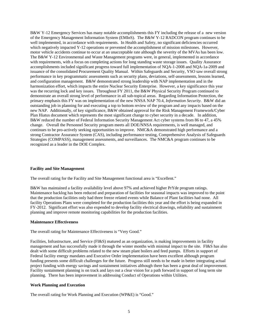B&W Y-12 Emergency Services has many notable accomplishments this FY including the release of a new version of the Emergency Management Information System (EMInS). The B&W Y-12 RADCON program continues to be well implemented, in accordance with requirements. In Health and Safety, no significant deficiencies occurred which negatively impacted Y-12 operations or prevented the accomplishment of mission milestones. However, motor vehicle accidents continue to occur at an unacceptable rate although the severity of the MVAs has been low. The B&W Y-12 Environmental and Waste Management programs were, in general, implemented in accordance with requirements, with a focus on completing actions for long standing waste storage issues. Quality Assurance accomplishments included significant progress toward full implementation of NQA-1-2008 and NQA-1a-2009 and issuance of the consolidated Procurement Quality Manual. Within Safeguards and Security, YSO saw overall strong performance in key programmatic assessments such as security plans, deviations, self-assessments, lessons learned, and configuration management. B&W demonstrated strong leadership with NAP implementation and in the harmonization effort, which impacts the entire Nuclear Security Enterprise. However, a key significance this year was the recurring lock and key issues. Throughout FY 2011, the B&W Physical Security Program continued to demonstrate an overall strong level of performance in all sub-topical areas. Regarding Information Protection, the primary emphasis this FY was on implementation of the new NNSA NAP 70.4, *Information Security.* B&W did an outstanding job in planning for and executing a top to bottom review of the program and any impacts based on the new NAP. Additionally, of key significance, B&W obtained approval for the Risk Management Framework/Cyber Plan Hiatus document which represents the most significant change to cyber security in a decade. In addition, B&W reduced the number of Federal Information Security Management Act cyber systems from 86 to 47, a 45% change. Overall the Personnel Security program meets all DOE/NNSA requirements, is well managed, and continues to be pro-actively seeking opportunities to improve. NMC&A demonstrated high performance and a strong Contractor Assurance System (CAS), including performance testing, Comprehensive Analysis of Safeguards Strategies (COMPASS), management assessments, and surveillances. The NMC&A program continues to be recognized as a leader in the DOE Complex.

#### **Facility and Site Management**

The overall rating for the Facility and Site Management functional area is "Excellent."

B&W has maintained a facility availability level above 97% and achieved higher PrYde program ratings. Maintenance backlog has been reduced and preparation of facilities for seasonal impacts was improved to the point that the production facilities only had three freeze related events while Balance of Plant facilities had none. All facility Operations Plans were completed for the production facilities this year and the effort is being expanded in FY-2012. Significant effort was also expended to develop facility electrical drawings, reliability and sustainment planning and improve remote monitoring capabilities for the production facilities.

#### **Maintenance Effectiveness**

The overall rating for Maintenance Effectiveness is "Very Good."

Facilities, Infrastructure, and Service (FI&S) matured as an organization, is making improvements in facility management and has successfully made it through the winter months with minimal impact to the site. FI&S has also dealt with some difficult problems related to the new steam plant boilers and feed pumps. Efforts in support of Federal facility energy mandates and Executive Order implementation have been excellent although program funding presents some difficult challenges for the future. Progress still needs to be made in better integrating actual project funding with energy savings and sustainment initiatives although there has been a great deal of improvement. Facility sustainment planning is on track and lays out a clear vision for a path forward in support of long term site planning. There has been improvement in addressing Conduct of Operations within Utilities.

#### **Work Planning and Execution**

The overall rating for Work Planning and Execution (WP&E) is "Good."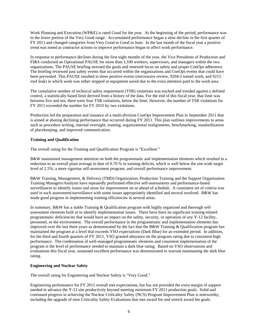Work Planning and Execution (WP&E) is rated Good for the year. At the beginning of the period, performance was in the lower portion of the Very Good range. Accumulated performance began a slow decline in the first quarter of FY 2011 and changed categories from Very Good to Good in June. In the last month of the fiscal year a positive trend was noted as contractor actions to improve performance began to affect work performance.

In response to performance declines during the first eight months of the year, the Vice Presidents of Production and FI&S conducted an Operational PAUSE for more than 1,100 workers, supervisors, and managers within the two organizations. The PAUSE briefing stressed the goals and renewed focus on safety and proper ConOps adherence. The briefing reviewed past safety events that occurred within the organizations and ConOps events that could have been prevented. This PAUSE resulted in three positive events (microwave review, 9204-2 tunnel work, and 9215 roof leak) in which work was either stopped or equipment saved due to the extra attention paid to the work area.

The cumulative number of technical safety requirement (TSR) violations was tracked and trended against a defined control, a statistically based limit derived from a history of the data. For the end of this fiscal year, that limit was between five and ten; there were four TSR violations, below the limit. However, the number of TSR violations for FY 2011 exceeded the number for FY 2010 by two violations.

Production led the preparation and issuance of a multi-division ConOps Improvement Plan in September 2011 that is aimed at abating declining performance that occurred during FY 2011. This plan outlines improvements to areas such as procedure writing, internal oversight, training, organizational realignments, benchmarking, standardization of placekeeping, and improved communication.

## **Training and Qualification**

The overall rating for the Training and Qualification Program is "Excellent."

B&W maintained management attention on both the programmatic and implementation elements which resulted in a reduction to an overall plant average to date of 0.70 % in training deficits, which is well below the site-wide target level of 2.5%; a more rigorous self-assessment program; and overall performance improvement.

B&W Training, Management, & Delivery (TMD) Organization, Production Training and the Support Organization Training Managers/Analysts have repeatedly performed effective self-assessments and performance-based surveillances to identify issues and areas for improvement on or ahead of schedule. A consistent set of criteria was used in each assessment/surveillance with some issues appropriately identified and several resolved. B&W has made good progress in implementing training efficiencies in several areas.

In summary, B&W has a stable Training & Qualification program with highly organized and thorough selfassessment elements built in to identify implementation issues. There have been no significant training-related programmatic deficiencies that would have an impact on the safety, security, or operation of any Y-12 facility, personnel, or the environment. The overall performance in the programmatic and implementation elements has improved over the last three years as demonstrated by the fact that the B&W Training & Qualification program has maintained the program at a level that exceeds YSO expectations (Dark Blue) for an extended period. In addition, for the third and fourth quarters of FY 2011, YSO granted abeyance on the program rating due to consistent high performance. The combination of well-managed programmatic elements and consistent implementation of the program is the level of performance needed to maintain a dark blue rating. Based on YSO observations and evaluations this fiscal year, sustained excellent performance was demonstrated to warrant maintaining the dark blue rating.

#### **Engineering and Nuclear Safety**

The overall rating for Engineering and Nuclear Safety is "Very Good."

Engineering performance for FY 2011 overall met expectations, but has not provided the extra margin of support needed to advance the Y-12 site productivity beyond meeting minimum FY 2011 production goals. Solid and continued progress in achieving the Nuclear Criticality Safety (NCS) Program Improvement Plan is noteworthy, including the upgrade of nine Criticality Safety Evaluations that met award fee and stretch award fee goals.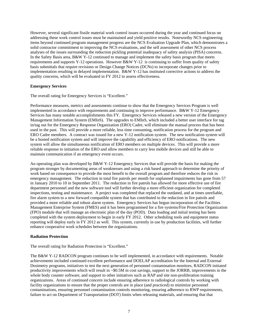However, several significant fissile material work control issues occurred during the year and continued focus on addressing these work control issues must be maintained and yield positive results. Noteworthy NCS engineering items beyond continued program management progress are the NCS Evaluation Upgrade Plan, which demonstrates a solid contractor commitment to improving the NCS evaluations, and the self assessment of other NCS process analyses of the issues surrounding the reduction pickling potential inadequacy of safety analysis (PISA) concerns. In the Safety Basis area, B&W Y-12 continued to manage and implement the safety basis program that meets requirements and supports Y-12 operations. However B&W Y-12 is continuing to suffer from quality of safety basis submittals that require revisions or Design Change Notices (DCNs) to incorporate changes prior to implementation resulting in delayed implementation. B&W Y-12 has instituted corrective actions to address the quality concerns, which will be evaluated in FY 2012 to assess effectiveness.

#### **Emergency Services**

The overall rating for Emergency Services is "Excellent."

Performance measures, metrics and assessments continue to show that the Emergency Services Program is well implemented in accordance with requirements and continuing to improve performance. B&W Y-12 Emergency Services has many notable accomplishments this FY. Emergency Services released a new version of the Emergency Management Information System (EMInS). The upgrades to EMInS, which included a better user interface for tag in/tag out for the Emergency Response Organization (ERO) Cadre, will eliminate the manual process that has been used in the past. This will provide a more reliable, less time consuming, notification process for the program and ERO Cadre members. A contract was issued for a new Y-12 notification system. The new notification system will be a hosted notification system and will improve the capability and efficiency of ERO notifications. The new system will allow the simultaneous notification of ERO members on multiple devices. This will provide a more reliable response to initiation of the ERO and allow members to carry less mobile devices and still be able to maintain communication if an emergency event occurs.

An operating plan was developed by B&W Y-12 Emergency Services that will provide the basis for making the program stronger by documenting areas of weaknesses and using a risk based approach to determine the priority of work based on consequence to provide the most benefit to the overall program and therefore reduces the risk in emergency management. The reduction in total fire patrols per month for unplanned impairments has gone from 57 in January 2010 to 10 in September 2011. The reduction in fire patrols has allowed for more effective use of fire department personnel and the new software tool will further develop a more efficient organization for completed inspections, testing and maintenance. A project was completed that replaced the outdated, and at times unreliable, fire alarm system to a new forward compatible system that has contributed to the reduction in fire patrols and provided a more reliable and robust alarm system. Emergency Services has begun incorporation of the Facilities Management Enterprise System (FMES) and it has been programmed for a fire systems/Fire Protection Organization (FPO) module that will manage an electronic plan of the day (POD). Data loading and initial testing has been completed with the system deployment to begin in early FY 2012. Other scheduling tools and equipment status reporting will deploy early in FY 2012 as well. This system, currently in use by production facilities, will further enhance cooperative work schedules between the organizations.

#### **Radiation Protection**

The overall rating for Radiation Protection is "Excellent."

The B&W Y-12 RADCON program continues to be well implemented, in accordance with requirements. Notable achievements included continued excellent performance and DOELAP accreditation for the Internal and External Dosimetry programs, initiatives to test the next generation of personnel contamination monitors, RADCON initiated productivity improvements which will result in ~\$0.5M in cost savings, support to the JORRB, improvements in the whole body counter software, and support to other initiatives such as RAP and site non-proliferation training organizations. Areas of continued concern include ensuring adherence to radiological controls by working with facility organizations to ensure that the proper controls are in place (and practiced) to minimize personnel contaminations, ensuring personnel contamination controls monitoring, ensuring adherence to RWP requirements, failure to act on Department of Transportation (DOT) limits when releasing materials, and ensuring that that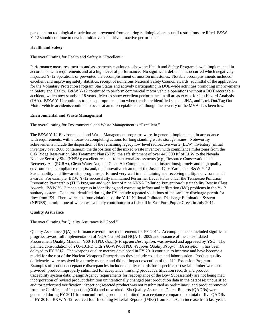personnel on radiological restriction are prevented from entering radiological areas until restrictions are lifted B&W Y-12 should continue to develop initiatives that drive proactive performance.

## **Health and Safety**

The overall rating for Health and Safety is "Excellent."

Performance measures, metrics and assessments continue to show the Health and Safety Program is well implemented in accordance with requirements and at a high level of performance. No significant deficiencies occurred which negatively impacted Y-12 operations or prevented the accomplishment of mission milestones. Notable accomplishments included: excellent and improving safety statistics, receipt of numerous National Safety Council awards, submittal of the application for the Voluntary Protection Program Star Status and actively participating in DOE-wide activities promoting improvements in Safety and Health. B&W Y-12 continued to perform commercial motor vehicle operations without a DOT recordable accident, which now stands at 18 years. Metrics show excellent performance in all areas except for Job Hazard Analysis (JHA). B&W Y-12 continues to take appropriate action when trends are identified such as JHA, and Lock Out/Tag Out. Motor vehicle accidents continue to occur at an unacceptable rate although the severity of the MVAs has been low.

#### **Environmental and Waste Management**

The overall rating for Environmental and Waste Management is "Excellent."

The B&W Y-12 Environmental and Waste Management programs were, in general, implemented in accordance with requirements, with a focus on completing actions for long standing waste storage issues. Noteworthy achievements include the disposition of the remaining legacy low level radioactive waste (LLW) inventory (initial inventory over 2600 containers); the disposition of the mixed waste inventory with compliance milestones from the Oak Ridge Reservation Site Treatment Plan (STP); the safe shipment of over 445,000 ft<sup>3</sup> of LLW to the Nevada Nuclear Security Site (NNSS); excellent results from external assessments (e.g., Resource Conservation and Recovery Act (RCRA), Clean Water Act, and Clean Air Compliance annual inspections); timely and high quality environmental compliance reports; and, the innovative clean up of the Just-in-Case Yard. The B&W Y-12 Sustainability and Stewardship programs performed very well in maintaining and receiving multiple environmental awards. For example, B&W Y-12 successfully maintained Performer Level status under the Tennessee Pollution Prevention Partnership (TP3) Program and won four of nine NNSA Pollution Prevention/Sustainability Best in Class Awards. B&W Y-12 made progress in identifying and correcting inflow and infiltration (I&I) problems in the Y-12 sanitary system. Concerns identified during the FY include repeated violations of the sanitary discharge permit for flow from I&I. There were also four violations of the Y-12 National Pollutant Discharge Elimination System (NPDES) permit – one of which was a likely contributor to a fish kill in East Fork Poplar Creek in July 2011.

#### **Quality Assurance**

The overall rating for Quality Assurance is "Good."

Quality Assurance (QA) performance overall met requirements for FY 2011. Accomplishments included significant progress toward full implementation of NQA-1-2008 and NQA-1a-2009 and issuance of the consolidated Procurement Quality Manual. Y60-101PD, *Quality Program Description*, was revised and approved by YSO. The planned consolidation of Y60-101PD with Y60-WP-001PD, *Weapons Quality Program Description*, ,, has been delayed to FY 2012. The weapons quality metrics developed in FY 2010 continue to improve and have become a model for the rest of the Nuclear Weapons Enterprise as they include cost data and labor burden. Product quality deficiencies were resolved in a timely manner and did not impact execution of the Life Extension Program. Examples of product acceptance discrepancies include: quality records for a specific part serial number were not provided; product improperly submitted for acceptance; missing product certification records and product traceability system data; Design Agency requirements for reacceptance of the Bow Subassembly are not being met; incorporation of revised product definition unintentionally changed past production data in the database; unqualified auditor performed verification inspection; rejected product was not resubmitted as preliminary; and product removed from the Certificate of Inspection (COI) and re-worked. Six Quality Assurance Defect Reports (QADRs) were generated during FY 2011 for nonconforming product submitted for acceptance compared to a total of five QADRs in FY 2010. B&W Y-12 received four Incoming Material Reports (IMRs) from Pantex, an increase from last year's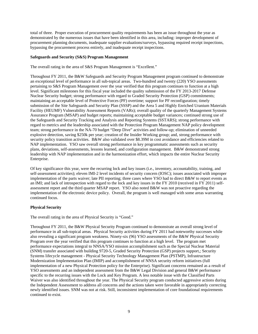total of three. Proper execution of procurement quality requirements has been an issue throughout the year as demonstrated by the numerous issues that have been identified in this area, including: improper development of procurement planning documents, inadequate supplier evaluations/surveys, bypassing required receipt inspections, bypassing the procurement process entirely, and inadequate receipt inspections.

## **Safeguards and Security (S&S) Program Management**

The overall rating in the area of S&S Program Management is "Excellent."

Throughout FY 2011, the B&W Safeguards and Security Program Management program continued to demonstrate an exceptional level of performance in all sub-topical areas. Two-hundred and twenty (220) YSO assessments pertaining to S&S Program Management over the year verified that this program continues to function at a high level. Significant milestones for this fiscal year included the quality submission of the FY 2013-2017 Defense Nuclear Security budget; strong performance with regard to Graded Security Protection (GSP) commitments; maintaining an acceptable level of Protective Forces (PF) overtime; support for PF reconfiguration; timely submission of the Site Safeguards and Security Plan (SSSP) and the Area 5 and Highly Enriched Uranium Materials Facility (HEUMF) Vulnerability Assessment Reports (VARs); overall quality of the quarterly Management Systems Assurance Program (MSAP) and budget reports; maintaining acceptable budget variances; continued strong use of the Safeguards and Security Tracking and Analysis and Reporting Systems (SSTARS); strong performance with regard to metrics and the leadership associated with the Protection Program Management NAP policy development team; strong performance in the NA-70 budget "Deep Dive" activities and follow-up; elimination of unneeded explosive detection, saving \$250k per year; creation of the Insider Working group; and, strong performance with security policy transition activities. B&W also validated over \$8.39M in cost avoidance and efficiencies related to NAP implementation. YSO saw overall strong performance in key programmatic assessments such as security plans, deviations, self-assessments, lessons learned, and configuration management. B&W demonstrated strong leadership with NAP implementation and in the harmonization effort, which impacts the entire Nuclear Security Enterprise.

Of key significance this year, were the recurring lock and key issues (i.e., inventory, accountability, training, and self-assessment activities); eleven IMI-2 level incidents of security concern (IOSC); issues associated with improper implementation of the parts waiver; late PII reporting; three cases where YSO had to direct B&W to report events as an IMI; and lack of introspection with regard to the lock and key issues in the FY 2010 (received in FY 2011) selfassessment report and the third quarter MSAP report. YSO also noted B&W was not proactive regarding the implementation of the electronic device policy. Overall, the program is well managed with some areas warranting continued focus.

## **Physical Security**

The overall rating in the area of Physical Security is "Good."

Throughout FY 2011, the B&W Physical Security Program continued to demonstrate an overall strong level of performance in all sub-topical areas. Physical Security activities during FY 2011 had noteworthy successes while also revealing a significant program weakness. Ninety-six (96) YSO assessments of the B&W Physical Security Program over the year verified that this program continues to function at a high level. The program met performance expectations integral to NNSA/YSO mission accomplishment such as the Special Nuclear Material (SNM) transfer associated with building 9720-5, Graded Security Protection (GSP) projects support,; Security Systems lifecycle management - Physical Security Technology Management Plan (PSTMP), Infrastructure Modernization Implementation Plan (IMIP) and accomplishment of NNSA security reform initiatives (full implementation of a new Physical Protection policy for the Enterprise). Significant concerns remained as a result of YSO assessments and an independent assessment from the B&W Legal Division and general B&W performance specific to the recurring issues with the Lock and Key Program. A less notable issue with the Classified Parts Waiver was also identified throughout the year. The Physical Security program conducted aggressive actions during the Independent Assessment to address all concerns and the actions taken were favorable in appropriately correcting newly identified issues. SNM was not at risk. Still, inconsistent implementation of core foundational requirements continued to exist.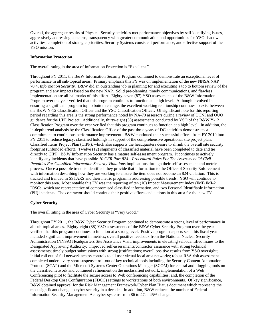Overall, the aggregate results of Physical Security activities met performance objectives by self identifying issues, aggressively addressing concerns, transparency with greater communication and opportunities for YSO shadow activities, completion of strategic priorities, Security Systems consistent performance, and effective support of the YSO mission.

## **Information Protection**

The overall rating in the area of Information Protection is "Excellent."

Throughout FY 2011, the B&W Information Security Program continued to demonstrate an exceptional level of performance in all sub-topical areas. Primary emphasis this FY was on implementation of the new NNSA NAP 70.4, *Information Security.* B&W did an outstanding job in planning for and executing a top to bottom review of the program and any impacts based on the new NAP. Solid pre-planning, timely communications, and flawless implementation are all hallmarks of this effort. Eighty-seven (87) YSO assessments of the B&W Information Program over the year verified that this program continues to function at a high level. Although involved in ensuring a significant program top to bottom change, the excellent working relationship continues to exist between the B&W Y-12 Classification Officer and the YSO Classification Officer. Of significant note for this reporting period regarding this area is the strong performance noted by NA-70 assessors during a review of UCNI and OUO guidance for the UPF Project. Additionally, thirty-eight (38) assessments conducted by YSO of the B&W Y-12 Classification Program over the year verified that this program continues to function at a high level. In addition, the in-depth trend analysis by the Classification Office of the past three years of DC activities demonstrates a commitment to continuous performance improvement. B&W continued their successful efforts from FY 2010 into FY 2011 to reduce legacy, classified holdings in support of the comprehensive operational site project plan, Classified Items Project Plan (CIPP), which also supports the headquarters desire to shrink the overall site security footprint (unfunded effort). Twelve (12) shipments of classified material have been completed to date and tie directly to CIPP. B&W Information Security has a mature self-assessment program. It continues to actively identify any incidents that have possible *10 CFR Part 824—Procedural Rules For The Assessment Of Civil Penalties For Classified Information Security Violations* implications through their self-assessment and metric process.Once a possible trend is identified, they provide that information to the Office of Security Enforcement with information describing how they are working to ensure the item does not become an 824 violation. This is tracked and trended in SSTARS and their metric program is addressing possible trends.YSO will continue to monitor this area. Most notable this FY was the reporting of ten (10) Impact Measurement Index (IMI) IMI-2 IOSCs, which are representative of compromised classified information, and two Personal Identifiable Information (PII) incidents. The contractor should continue their positive efforts and actions in this area for the new FY.

## **Cyber Security**

The overall rating in the area of Cyber Security is "Very Good."

Throughout FY 2011, the B&W Cyber Security Program continued to demonstrate a strong level of performance in all sub-topical areas. Eighty-eight (88) YSO assessments of the B&W Cyber Security Program over the year verified that this program continues to function at a strong level. Positive program aspects seen this fiscal year included significant improvement in metrics; overall positive feedback from the National Nuclear Security Administration (NNSA) Headquarters Site Assistance Visit; improvements in elevating self-identified issues to the Designated Approving Authority; improved self-assessments/contractor assurance with strong technical assessments; timely budget submissions with strong justifications; overall positive results from YSO oversight; initial roll out of full network access controls to all user virtual local area networks; robust RSA risk assessment completed under a very short suspense; roll-out of key technical tools including the Security Content Automation Protocol (SCAP) and the Microsoft Systems Center Operations Manager (SCOM) for central audit logging tools on the classified network and continued refinement on the unclassified network; implementation of a Web Conferencing pilot to facilitate the secure access to Web conferencing capabilities; and, the completion of the Federal Desktop Core Configuration (FDCC) settings to workstations of both environments. Of key significance, B&W obtained approval for the Risk Management Framework/Cyber Plan Hiatus document which represents the most significant change to cyber security in a decade. In addition, B&W reduced the number of Federal Information Security Management Act cyber systems from 86 to 47, a 45% change.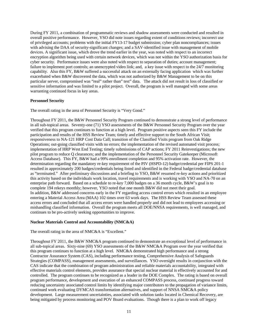During FY 2011, a combination of programmatic reviews and shadow assessments were conducted and resulted in overall positive performance. However, YSO did note issues regarding extent of conditions reviews; incorrect use of privileged accounts; problems with the initial FY13-17 budget submission; cyber plan noncompliances; issues with advising the DAA of security-significant changes; and a SAV-identified issue with management of mobile devices. A significant issue, which drove the trend earlier in the year, was noted with respect to an incorrect encryption algorithm being used with certain network devices, which was not within the YSO authorization basis for cyber security. Performance issues were also noted with respect to separation of duties; account management; failure to implement port controls; an unencrypted video link; and, a key issue with respect to the 24/7 monitoring capability. Also this FY, B&W suffered a successful attack on an externally facing application which was further exacerbated when B&W discovered the data, which was not authorized by B&W Management to be on this particular server, compromised was "real" rather than" test" data. The attack did not result in loss of classified or sensitive information and was limited to a pilot project. Overall, the program is well managed with some areas warranting continued focus in key areas.

## **Personnel Security**

The overall rating in the area of Personnel Security is "Very Good."

Throughout FY 2011, the B&W Personnel Security Program continued to demonstrate a strong level of performance in all sub-topical areas. Seventy-one (71) YSO assessments of the B&W Personnel Security Program over the year verified that this program continues to function at a high level. Program positive aspects seen this FY include the participation and results of the HSS Review Team; timely and effective support to the South African Visit; responsiveness to NA-121 HRP Cost Data Call; transition of the Classified Visits program from Oak Ridge Operations; out-going classified visits with no errors; the implementation of the revised automated visit process; implementation of HRP West End Testing; timely submissions of CAP actions; FY 2011 Reinvestigations; the new pilot program to reduce Q clearances; and the implementation of the Personnel Security Gatekeeper (Microsoft Access Database). This FY, B&W had a 99% enrollment completion and 95% activation rate. However, the determination regarding the mandatory re-key requirement of the PIV (HSPD-12) badge/credential per FIPS 201-1 resulted in approximately 200 badges/credentials being listed and identified in the Federal badge/credential database as "terminated." After preliminary discussions and a briefing to YSO, B&W resumed re-key actions and prioritized this activity based on the individuals work location, travel requirements and is working with YSO and NA-70 on an enterprise path forward. Based on a schedule to re-key 7,000 badges on a 36 month cycle, B&W's goal is to complete 194 rekeys monthly; however, YSO noted that one month B&W did not meet their goal. In addition, B&W addressed concerns early in the FY regarding access control errors which resulted in an employee entering a Material Access Area (MAA) 102 times over 63 work days. The HSS Review Team assessed these access errors and concluded that all access errors were handled properly and did not lead to employees accessing or mishandling classified information. Overall the program meets all DOE/NNSA requirements, is well managed, and continues to be pro-actively seeking opportunities to improve.

## **Nuclear Materials Control and Accountability (NMC&A)**

The overall rating in the area of NMC&A is "Excellent."

Throughout FY 2011, the B&W NMC&A program continued to demonstrate an exceptional level of performance in all sub-topical areas. Sixty-nine (69) YSO assessments of the B&W NMC&A Program over the year verified that this program continues to function at a high level. NMC&A demonstrated high performance and a strong Contractor Assurance System (CAS), including performance testing, Comprehensive Analysis of Safeguards Strategies (COMPASS), management assessments, and surveillances. YSO oversight results in conjunction with the CAS indicate that the combination of program administration and reliable materials accountability, integrated with effective materials control elements, provides assurance that special nuclear material is effectively accounted for and controlled. The program continues to be recognized as a leader in the DOE Complex. The rating is based on overall program performance, development and execution of an enhanced COMPASS process, continued progress toward reducing uncertainty associated control limits by identifying major contributors to the propagation of variance limits, continued work evaluating DYMCAS transformation alternatives, and support of NNSA NMC&A policy development. Large measurement uncertainties, associated with solution tanks located in Chemical Recovery, are being mitigated by process monitoring and POV Board evaluations. Though there is a plan to work off legacy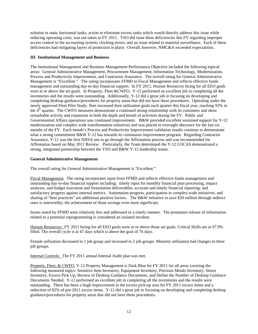solution in static horizontal tanks, action to eliminate excess tanks which would directly address this issue while reducing operating costs, was not taken in FY 2011. YSO did issue three deficiencies this FY regarding improper access control to the accounting system; clocking errors; and an issue related to material surveillance. Each of these deficiencies had mitigating layers of protection in place. Overall, however, NMC&A exceeded expectations.

## **III. Institutional Management and Business**

The Institutional Management and Business Management Performance Objective included the following topical areas: General Administrative Management, Procurement Management, Information Technology, Modernization, Process and Productivity Improvement, and Contractor Assurance. The overall rating for General Administrative Management is "Excellent." The rating incorporates FFMD in Fiscal Management and reflects effective funds management and outstanding day-to-day financial support. In FY 2011, Human Resources hiring for all EEO goals were at or above the set goals. In Property, Fleet &CWFO, Y-12 performed an excellent job in completing all the inventories and the results were outstanding. Additionally, Y-12 did a great job in focusing on developing and completing desktop guidance/procedures for property areas that did not have these procedures. Operating under the newly approved Fleet Pilot Study, fleet increased their utilization goals each quarter this fiscal year, reaching 93% in the 4<sup>th</sup> quarter. The CWFO measures demonstrate a continued strong relationship with its customers and show remarkable activity and expansion in both the depth and breath of activities during the FY. Public and Governmental Affairs operations saw continued improvement. B&W provided excellent sustained support for Y-12 modernization and complex wide transformation initiatives and was placed in oversight abeyance for the last six months of the FY. Each month's Process and Productivity Improvement validation results continue to demonstrate what a strong commitment B&W Y-12 has towards its continuous improvement program. Regarding Contractor Assurance, Y-12 was the first NNSA site to go through the Affirmation process and was recommended for Affirmation based on May 2011 Review. Particularly, the Team determined the Y-12 LOCAS demonstrated a strong, integrated partnership between the YSO and B&W Y-12 leadership teams.

## **General Administrative Management**

The overall rating for General Administrative Management is "Excellent."

Fiscal Management. The rating incorporates input from FFMD and reflects effective funds management and outstanding day-to-day financial support including: timely input for monthly financial plan processing, impact analyses, and budget execution and formulation deliverables; accurate and timely financial reporting; and satisfactory progress against internal metrics. Automation progress, participation in complex-wide initiatives, and sharing of "best practices" are additional positive factors. The B&W initiative to save \$20 million through indirect rates is noteworthy; the achievement of those savings even more significant.

Issues noted by FFMD were relatively few and addressed in a timely manner. The premature release of information related to a potential reprogramming is considered an isolated incident.

Human Resources: FY 2011 hiring for all EEO goals were at or above those set goals. Critical Skills are at 97.9% filled. The overall cycle is at 47 days which is above the goal of 76 days.

Female utilization decreased in 1 job group and increased in 2 job groups. Minority utilization had changes in three job groups.

Internal Controls: The FY 2011 annual Internal Audit plan was met.

Property, Fleet, & CWFO: Y-12 Property Management is Dark Blue for FY 2011 for all areas covering the following measured topics: Sensitive Item Inventory, Equipment Inventory, Precious Metals Inventory, Stores Inventory, Excess Pick Up, Review of Desktop Guidance Documents, and Define the Number of Desktop Guidance Documents Needed. Y-12 performed an excellent job in completing all the inventories and the results were outstanding. There has been a hugh improvement in the excess pick-up area for FY 2011 excess items and a reduction of 82% of pre-2011 excess items. Y-12 did a great job in focusing on developing and completing desktop guidance/procedures for property areas that did not have these procedures.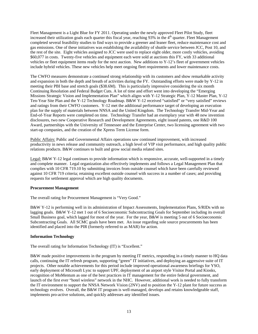Fleet Management is a Light Blue for FY 2011. Operating under the newly approved Fleet Pilot Study, fleet increased their utilization goals each quarter this fiscal year, reaching  $93\%$  in the  $4<sup>th</sup>$  quarter. Fleet Management completed several feasibility studies to find ways to provide a greener and leaner fleet, reduce maintenance cost and gas emissions. One of these initiatives was establishing the availability of shuttle service between JCC, Post 10, and the rest of the site. Eight vehicles assigned to JCC were used to replace eight older, more costly vehicles, avoiding \$60,077 in costs. Twenty-five vehicles and equipment each were sold at auctions this FY, with 33 additional vehicles or fleet equipment items ready for the next auction. New additions to Y-12's fleet of government vehicles include hybrid vehicles. These new vehicles help meet ongoing fleet requirements and lower maintenance costs.

The CWFO measures demonstrate a continued strong relationship with its customers and show remarkable activity and expansion in both the depth and breath of activities during the FY. Outstanding efforts were made by Y-12 in meeting their PBI base and stretch goals (\$38.6M). This is particularly impressive considering the six month Continuing Resolution and Federal Budget Cuts. A lot of time and effort went into developing the "Emerging Missions Strategic Vision and Implementation Plan" which aligns with Y-12 Strategic Plan, Y-12 Master Plan, Y-12 Ten-Year Site Plan and the Y-12 Technology Roadmap. B&W Y-12 received "satisfied" or "very satisfied" reviews and ratings from their CWFO customers. Y-12 met the additional performance target of developing an execution plan for the supply of materials between NNSA and the United Kingdom. The Technology Transfer Mid-Year and End-of-Year Reports were completed on time. Technology Transfer had an exemplary year with 48 new invention disclosures, two new Cooperative Research and Development Agreements, eight issued patents, one R&D 100 Award, partnerships with the University of Tennessee and the Enterprise Center, two licensing agreement with two start-up companies, and the creation of the Xpress Term License form.

Public Affairs: Public and Governmental Affairs operations saw continued improvement, with increased productivity in news release and community outreach, a high level of VIP visit performance, and high quality public relations products. B&W continues to built and grow social media related sites.

Legal: B&W Y-12 legal continues to provide information which is responsive, accurate, well-supported in a timely and complete manner. Legal organization also effectively implements and follows a Legal Management Plan that complies with 10 CFR 719.10 by submitting invoices from outside counsel which have been carefully reviewed against 10 CFR 719 criteria; retaining excellent outside counsel with success in a number of cases; and providing requests for settlement approval which are high quality documents.

## **Procurement Management**

The overall rating for Procurement Management is "Very Good."

B&W Y-12 is performing well in its administration of Impact Assessments, Implementation Plans, S/RIDs with no lagging goals. B&W Y-12 met 1 out of 6 Socioeconomic Subcontracting Goals for September including its overall Small Business goal, which lagged for most of the year. For the year, B&W is meeting 5 out of 6 Socioeconomic Subcontracting Goals. All SCMC goals have been met. An issue regarding sole source procurements has been identified and placed into the PIR (formerly referred to as MAR) for action.

## **Information Technology**

The overall rating for Information Technology (IT) is "Excellent."

B&W made positive improvements in the program by meeting IT metrics, responding in a timely manner to HQ data calls, continuing the IT refresh program, supporting "green" IT initiatives, and deploying an aggressive suite of IT projects. Other notable achievements for this period include improved operational awareness briefings for YSO, early deployment of Microsoft Lync to support UPF, deployment of an airport style Visitor Portal and Kiosks, recognition of MoMentum as one of the best practices in IT management for the entire federal government, and launch of the first ever "hotel wireless" network in the NHC. However, additional work is needed to fully transform the IT environment to support the NNSA Network Vision (2NV) and to position the Y-12 plant for future success as technology evolves. Overall, the B&W IT program is well-managed, develops and retains knowledgeable staff, implements pro-active solutions, and quickly addresses any identified issues.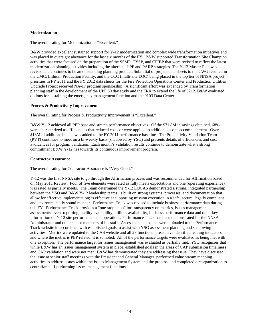## **Modernization**

The overall rating for Modernization is "Excellent."

B&W provided excellent sustained support for Y-12 modernization and complex wide transformation initiatives and was placed in oversight abeyance for the last six months of the FY. B&W supported Transformation Site Champion activities that were focused on the preparation of the SSMP, TYSP, and CPIBP that were revised to reflect the latest modernization planning activities including the alternate UPF and PARP strategies. The Y-12 Master Plan was revised and continues to be an outstanding planning product. Submittal of project data sheets to the CWG resulted in the CMC, Lithium Production Facility, and the CCC (multi-site EOC) being placed in the top tier of NNSA project priorities in FY 2011 and the FY 2012 data sheets for the Fire Protection Operations Center and Production Utilities Upgrade Project received NA-17 program sponsorship. A significant effort was expended by Transformation planning staff in the development of the UPF 60 day study and the FRR to extend the life of 9212. B&W evaluated options for sustaining the emergency management function and the 9103 Data Center.

## **Process & Productivity Improvement**

The overall rating for Process & Productivity Improvement is "Excellent."

B&W Y-12 achieved all PEP base and stretch performance objectives. Of the \$71.8M in savings obtained, 68% were characterized as efficiencies that reduced costs or were applied to additional scope accomplishment. Over \$18M of additional scope was added to the FY 2011 performance baseline. The Productivity Validation Team (PVT) continues to meet on a bi-weekly basis (shadowed by YSO) and presents details of efficiencies and cost avoidances for program validation. Each month's validation results continue to demonstrate what a strong commitment B&W Y-12 has towards its continuous improvement program.

## **Contractor Assurance**

The overall rating for Contractor Assurance is "Very Good."

Y-12 was the first NNSA site to go through the Affirmation process and was recommended for Affirmation based on May 2011 Review. Four of five elements were rated as fully meets expectations and one (operating experience) was rated as partially meets. The Team determined the Y-12 LOCAS demonstrated a strong, integrated partnership between the YSO and B&W Y-12 leadership teams; is built on strong systems, processes, and documentation that allow for effective implementation; is effective at supporting mission execution in a safe, secure, legally compliant and environmentally sound manner. Performance Track was revised to include business performance data during this FY. Performance Track provides a "one-stop-shop" for transparency on metrics, issues management, assessments, event reporting, facility availability, utilities availability, business performance data and other key information on Y-12 site performance and operations. Performance Track has been demonstrated for the NNSA Administrator and other senior members of his staff. Assessment schedules were uploaded to the Performance Track website in accordance with established goals to assist with YSO assessment planning and shadowing activities. Metrics were updated to the CAS website and all 27 functional areas have identified leading indicators and where the metric is PEP related, it is so noted. All of the performance targets were evaluated as being met with one exception. The performance target for issues management was evaluated as partially met. YSO recognizes that while B&W has an issues management system in place, established goals in the areas of CAP submission timeliness and CAP validation and were not met. B&W has demonstrated they are addressing the issue. They have discussed the issue at senior staff meetings with the President and General Manager, performed value stream mapping activities to address issues within the Issues Management System and the process, and completed a reorganization to centralize staff performing issues management functions.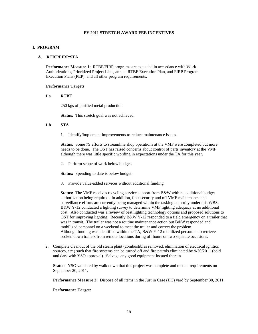## **FY 2011 STRETCH AWARD FEE INCENTIVES**

## **I. PROGRAM**

#### **A. RTBF/FIRP/STA**

**Performance Measure 1:** RTBF/FIRP programs are executed in accordance with Work Authorizations, Prioritized Project Lists, annual RTBF Execution Plan, and FIRP Program Execution Plans (PEP), and all other program requirements.

## **Performance Targets**

#### **1.a RTBF**

250 kgs of purified metal production

**Status:** This stretch goal was not achieved.

#### **1.b STA**

1. Identify/implement improvements to reduce maintenance issues.

**Status:** Some 7S efforts to streamline shop operations at the VMF were completed but more needs to be done. The OST has raised concerns about control of parts inventory at the VMF although there was little specific wording in expectations under the TA for this year.

2. Perform scope of work below budget.

**Status:** Spending to date is below budget.

3. Provide value-added services without additional funding.

**Status:** The VMF receives recycling service support from B&W with no additional budget authorization being required. In addition, fleet security and off VMF maintenance and surveillance efforts are currently being managed within the tasking authority under this WBS. B&W Y-12 conducted a lighting survey to determine VMF lighting adequacy at no additional cost. Also conducted was a review of best lighting technology options and proposed solutions to OST for improving lighting. Recently B&W Y-12 responded to a field emergency on a trailer that was in transit. The trailer was not a routine maintenance action but B&W responded and mobilized personnel on a weekend to meet the trailer and correct the problem. Although funding was identified within the TA, B&W Y-12 mobilized personnel to retrieve broken down trailers from remote locations during off hours on two separate occasions.

2. Complete cleanout of the old steam plant (combustibles removed, elimination of electrical ignition sources, etc.) such that fire systems can be turned off and fire patrols eliminated by 9/30/2011 (cold and dark with YSO approval). Salvage any good equipment located therein.

**Status:** YSO validated by walk down that this project was complete and met all requirements on September 20, 2011.

**Performance Measure 2:** Dispose of all items in the Just in Case (JIC) yard by September 30, 2011.

## **Performance Target:**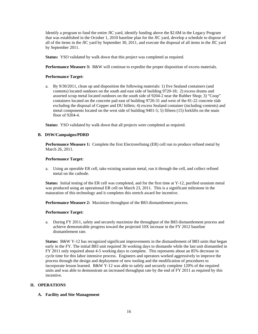Identify a program to fund the entire JIC yard, identify funding above the \$2.6M in the Legacy Program that was established in the October 1, 2010 baseline plan for the JIC yard, develop a schedule to dispose of all of the items in the JIC yard by September 30, 2011, and execute the disposal of all items in the JIC yard by September 2011.

 **Status:** YSO validated by walk down that this project was completed as required.

**Performance Measure 3:** B&W will continue to expedite the proper disposition of excess materials.

## **Performance Target:**

a. By 9/30/2011, clean up and disposition the following materials: 1) five Sealand containers (and contents) located outdoors on the south and east side of building 9720-18; 2) excess drums and assorted scrap metal located outdoors on the south side of 9204-2 near the Rubber Shop; 3) "Coop" containers located on the concrete pad east of building 9720-31 and west of the 81-22 concrete slab excluding the disposal of Copper and DU billets; 4) excess Sealand container (including contents) and metal components located on the west side of building 9401-5; 5) fifteen (15) forklifts on the main floor of 9204-4.

**Status:** YSO validated by walk down that all projects were completed as required.

## **B. DSW/Campaigns/PDRD**

**Performance Measure 1:** Complete the first Electrorefining (ER) cell run to produce refined metal by March 26, 2011.

## **Performance Target:**

a. Using an operable ER cell, take existing uranium metal, run it through the cell, and collect refined metal on the cathode.

**Status:** Initial testing of the ER cell was completed, and for the first time at Y-12, purified uranium metal was produced using an operational ER cell on March 23, 2011. This is a significant milestone in the maturation of this technology and it completes this stretch award fee incentive.

**Performance Measure 2:** Maximize throughput of the B83 dismantlement process.

#### **Performance Target:**

a. During FY 2011, safety and securely maximize the throughput of the B83 dismantlement process and achieve demonstrable progress toward the projected 10X increase in the FY 2012 baseline dismantlement rate.

**Status:** B&W Y-12 has recognized significant improvements in the dismantlement of B83 units that began early in the FY. The initial B83 unit required 36 working days to dismantle while the last unit dismantled in FY 2011 only required about 4-5 working days to complete. This represents about an 85% decrease in cycle time for this labor intensive process. Engineers and operators worked aggressively to improve the process through the design and deployment of new tooling and the modification of procedures to incorporate lesson learned. B&W Y-12 was able to safely and securely complete 120% of the required units and was able to demonstrate an increased throughput rate by the end of FY 2011 as required by this incentive.

## **II. OPERATIONS**

## **A. Facility and Site Management**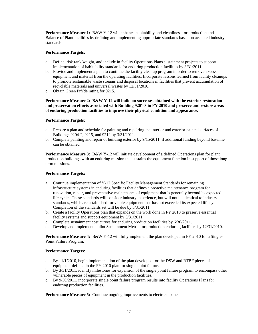**Performance Measure 1:** B&W Y-12 will enhance habitability and cleanliness for production and Balance of Plant facilities by defining and implementing appropriate standards based on accepted industry standards.

## **Performance Targets:**

- a. Define, risk rank/weight, and include in facility Operations Plans sustainment projects to support implementation of habitability standards for enduring production facilities by 3/31/2011.
- b. Provide and implement a plan to continue the facility cleanup program in order to remove excess equipment and material from the operating facilities. Incorporate lessons learned from facility cleanups to promote sustainable waste streams and disposal locations in facilities that prevent accumulation of recyclable materials and universal wastes by 12/31/2010.
- c. Obtain Green PrYde rating for 9215.

## **Performance Measure 2: B&W Y-12 will build on successes obtained with the exterior restoration and preservation efforts associated with Building 9201-3 in FY 2010 and preserve and restore areas of enduring production facilities to improve their physical condition and appearance.**

## **Performance Targets:**

- a. Prepare a plan and schedule for painting and repairing the interior and exterior painted surfaces of Buildings 9204-2, 9215, and 9212 by 3/31/2011.
- b. Complete painting and repair of building exterior by 9/15/2011, if additional funding beyond baseline can be obtained.

**Performance Measure 3:** B&W Y-12 will initiate development of a defined Operations plan for plant production buildings with an enduring mission that sustains the equipment function in support of those long term missions.

## **Performance Targets:**

- a. Continue implementation of Y-12 Specific Facility Management Standards for remaining infrastructure systems in enduring facilities that defines a proactive maintenance program for renovation, repair, and preventative maintenance of equipment that is generally beyond its expected life cycle. These standards will consider industry experience, but will not be identical to industry standards, which are established for viable equipment that has not exceeded its expected life cycle. Completion of the standards set will be due by 3/31/2011.
- b. Create a facility Operations plan that expands on the work done in FY 2010 to preserve essential facility systems and support equipment by 3/31/2011.
- c. Complete sustainment cost curves for enduring production facilities by 6/30/2011.
- d. Develop and implement a pilot Sustainment Metric for production enduring facilities by 12/31/2010.

**Performance Measure 4:** B&W Y-12 will fully implement the plan developed in FY 2010 for a Single-Point Failure Program.

## **Performance Targets:**

- a. By 11/1/2010, begin implementation of the plan developed for the DSW and RTBF pieces of equipment defined in the FY 2010 plan for single point failure.
- b. By 3/31/2011, identify milestones for expansion of the single point failure program to encompass other vulnerable pieces of equipment in the production facilities.
- c. By 9/30/2011, incorporate single point failure program results into facility Operations Plans for enduring production facilities.

**Performance Measure 5:** Continue ongoing improvements to electrical panels.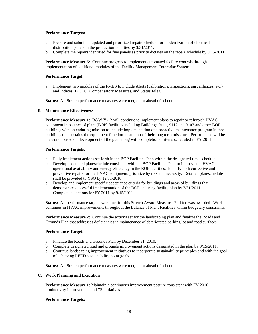## **Performance Targets:**

- a. Prepare and submit an updated and prioritized repair schedule for modernization of electrical distribution panels in the production facilities by 3/31/2011.
- b. Complete the repairs identified for five panels as priority dictates on the repair schedule by 9/15/2011.

**Performance Measure 6:** Continue progress to implement automated facility controls through implementation of additional modules of the Facility Management Enterprise System.

## **Performance Target:**

a. Implement two modules of the FMES to include Alerts (calibrations, inspections, surveillances, etc.) and Indices (LO/TO, Compensatory Measures, and Status Files).

**Status:** All Stretch performance measures were met, on or ahead of schedule.

#### **B. Maintenance Effectiveness**

**Performance Measure 1:** B&W Y-12 will continue to implement plans to repair or refurbish HVAC equipment in balance of plant (BOP) facilities including Buildings 9111, 9112 and 9103 and other BOP buildings with an enduring mission to include implementation of a proactive maintenance program in those buildings that sustains the equipment function in support of their long term missions. Performance will be measured based on development of the plan along with completion of items scheduled in FY 2011.

## **Performance Targets:**

- a. Fully implement actions set forth in the BOP Facilities Plan within the designated time schedule.
- b. Develop a detailed plan/schedule consistent with the BOP Facilities Plan to improve the HVAC operational availability and energy efficiency in the BOP facilities. Identify both corrective and preventive repairs for the HVAC equipment, prioritize by risk and necessity. Detailed plan/schedule shall be provided to YSO by 12/31/2010.
- c. Develop and implement specific acceptance criteria for buildings and areas of buildings that demonstrate successful implementation of the BOP enduring facility plan by 3/31/2011.
- d. Complete all actions for FY 2011 by 9/15/2011.

**Status:** All performance targets were met for this Stretch Award Measure. Full fee was awarded. Work continues in HVAC improvements throughout the Balance of Plant Facilities within budgetary constraints.

**Performance Measure 2:** Continue the actions set for the landscaping plan and finalize the Roads and Grounds Plan that addresses deficiencies in maintenance of deteriorated parking lot and road surfaces.

## **Performance Target:**

- a. Finalize the Roads and Grounds Plan by December 31, 2010.
- b. Complete designated road and grounds improvement actions designated in the plan by 9/15/2011.
- c. Continue landscaping improvement initiatives to incorporate sustainability principles and with the goal of achieving LEED sustainability point goals.

**Status:** All Stretch performance measures were met, on or ahead of schedule.

#### **C. Work Planning and Execution**

**Performance Measure 1:** Maintain a continuous improvement posture consistent with FY 2010 productivity improvement and 7S initiatives.

**Performance Targets:**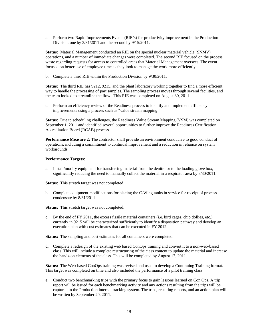a. Perform two Rapid Improvements Events (RIE's) for productivity improvement in the Production Division; one by 3/31/2011 and the second by 9/15/2011.

**Status:** Material Management conducted an RIE on the special nuclear material vehicle (SNMV) operations, and a number of immediate changes were completed. The second RIE focused on the process waste regarding requests for access to controlled areas that Material Management oversees. The event focused on better use of employee time as they look to manage the work more efficiently.

b. Complete a third RIE within the Production Division by 9/30/2011.

**Status:** The third RIE has 9212, 9215, and the plant laboratory working together to find a more efficient way to handle the processing of part samples. The sampling process moves through several facilities, and the team looked to streamline the flow. This RIE was completed on August 30, 2011.

c. Perform an efficiency review of the Readiness process to identify and implement efficiency improvements using a process such as "value stream mapping."

**Status:** Due to scheduling challenges, the Readiness Value Stream Mapping (VSM) was completed on September 1, 2011 and identified several opportunities to further improve the Readiness Certification Accreditation Board (RCAB) process.

**Performance Measure 2:** The contractor shall provide an environment conducive to good conduct of operations, including a commitment to continual improvement and a reduction in reliance on system workarounds.

#### **Performance Targets:**

a. Install/modify equipment for transferring material from the denitrator to the loading glove box, significantly reducing the need to manually collect the material in a respirator area by 8/30/2011.

**Status:** This stretch target was not completed.

b. Complete equipment modifications for placing the C-Wing tanks in service for receipt of process condensate by 8/31/2011.

**Status:** This stretch target was not completed.

c. By the end of FY 2011, the excess fissile material containers (i.e. bird cages, chip dollies, etc.) currently in 9215 will be characterized sufficiently to identify a disposition pathway and develop an execution plan with cost estimates that can be executed in FY 2012.

**Status:** The sampling and cost estimates for all containers were completed.

d. Complete a redesign of the existing web based ConOps training and convert it to a non-web-based class. This will include a complete restructuring of the class content to update the material and increase the hands-on elements of the class. This will be completed by August 17, 2011.

**Status:** The Web-based ConOps training was revised and used to develop a Continuing Training format. This target was completed on time and also included the performance of a pilot training class.

e. Conduct two benchmarking trips with the primary focus to gain lessons learned on Con Ops. A trip report will be issued for each benchmarking activity and any actions resulting from the trips will be captured in the Production internal tracking system. The trips, resulting reports, and an action plan will be written by September 20, 2011.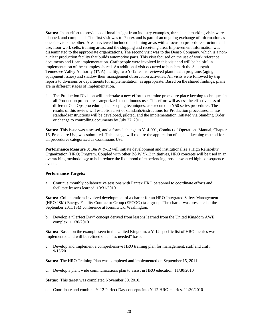**Status:** In an effort to provide additional insight from industry examples, three benchmarking visits were planned, and completed. The first visit was to Pantex and is part of an ongoing exchange of information as one site visits the other. Areas reviewed included machining areas with a focus on procedure structure and use, floor work cells, training areas, and the shipping and receiving area. Improvement information was disseminated to the appropriate organizations. The second visit was to the Denso Company, which is a nonnuclear production facility that builds automotive parts. This visit focused on the use of work reference documents and Lean implementation. Craft people were involved in this visit and will be helpful in implementation of the examples shared. An additional visit occurred to benchmark the Sequoyah Tennessee Valley Authority (TVA) facility; two Y-12 teams reviewed plant health programs (aging equipment issues) and shadow their management observation activities. All visits were followed by trip reports to divisions or departments for implementation, as appropriate. Based on the shared findings, plans are in different stages of implementation.

f. The Production Division will undertake a new effort to examine procedure place keeping techniques in all Production procedures categorized as continuous use. This effort will assess the effectiveness of different Con Ops procedure place keeping techniques, as executed in Y50 series procedures. The results of this review will establish a set of standards/instructions for Production procedures. These standards/instructions will be developed, piloted, and the implementation initiated via Standing Order or change to controlling documents by July 27, 2011.

**Status:** This issue was assessed, and a formal change to Y14-001, Conduct of Operations Manual, Chapter 16, Procedure Use, was submitted. This change will require the application of a place-keeping method for all procedures categorized as Continuous Use.

**Performance Measure 3:** B&W Y-12 will initiate development and institutionalize a High Reliability Organization (HRO) Program. Coupled with other B&W Y-12 initiatives, HRO concepts will be used in an overarching methodology to help reduce the likelihood of experiencing those unwanted high consequence events.

#### **Performance Targets:**

a. Continue monthly collaborative sessions with Pantex HRO personnel to coordinate efforts and facilitate lessons learned. 10/31/2010

**Status:** Collaborations involved development of a charter for an HRO-Integrated Safety Management (HRO-ISM) Energy Facility Contractor Group (EFCOG) task group. The charter was presented at the September 2011 ISM conference at Kenniwick, Washington.

b. Develop a "Perfect Day" concept derived from lessons learned from the United Kingdom AWE complex. 11/30/2010

**Status:** Based on the example seen in the United Kingdom, a Y-12 specific list of HRO metrics was implemented and will be refined on an "as needed" basis.

c. Develop and implement a comprehensive HRO training plan for management, staff and craft. 9/15/2011

**Status:** The HRO Training Plan was completed and implemented on September 15, 2011.

d. Develop a plant wide communications plan to assist in HRO education. 11/30/2010

**Status:** This target was completed November 30, 2010.

e. Coordinate and combine Y-12 Perfect Day concepts into Y-12 HRO metrics. 11/30/2010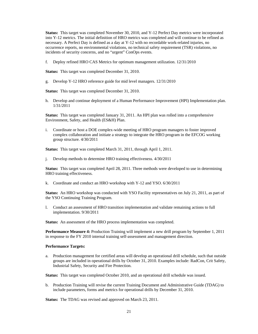**Status:** This target was completed November 30, 2010, and Y-12 Perfect Day metrics were incorporated into Y-12 metrics. The initial definition of HRO metrics was completed and will continue to be refined as necessary. A Perfect Day is defined as a day at Y-12 with no recordable work-related injuries, no occurrence reports, no environmental violations, no technical safety requirement (TSR) violations, no incidents of security concerns, and no "urgent" ConOps events.

f. Deploy refined HRO CAS Metrics for optimum management utilization. 12/31/2010

**Status:** This target was completed December 31, 2010.

g. Develop Y-12 HRO reference guide for mid level managers. 12/31/2010

**Status:** This target was completed December 31, 2010.

h. Develop and continue deployment of a Human Performance Improvement (HPI) Implementation plan. 1/31/2011

**Status:** This target was completed January 31, 2011. An HPI plan was rolled into a comprehensive Environment, Safety, and Health (ES&H) Plan.

i. Coordinate or host a DOE complex-wide meeting of HRO program managers to foster improved complex collaboration and initiate a strategy to integrate the HRO program in the EFCOG working group structure. 4/30/2011

**Status:** This target was completed March 31, 2011, through April 1, 2011.

j. Develop methods to determine HRO training effectiveness. 4/30/2011

**Status:** This target was completed April 28, 2011. Three methods were developed to use in determining HRO training effectiveness.

k. Coordinate and conduct an HRO workshop with Y-12 and YSO. 6/30/2011

**Status:** An HRO workshop was conducted with YSO Facility representatives on July 21, 2011, as part of the YSO Continuing Training Program.

l. Conduct an assessment of HRO transition implementation and validate remaining actions to full implementation. 9/30/2011

**Status:** An assessment of the HRO process implementation was completed.

**Performance Measure 4:** Production Training will implement a new drill program by September 1, 2011 in response to the FY 2010 internal training self-assessment and management direction.

#### **Performance Targets:**

a. Production management for certified areas will develop an operational drill schedule, such that outside groups are included in operational drills by October 31, 2010. Examples include: RadCon, Crit Safety, Industrial Safety, Security and Fire Protection.

**Status:** This target was completed October 2010, and an operational drill schedule was issued.

b. Production Training will revise the current Training Document and Administrative Guide (TDAG) to include parameters, forms and metrics for operational drills by December 31, 2010.

**Status:** The TDAG was revised and approved on March 23, 2011.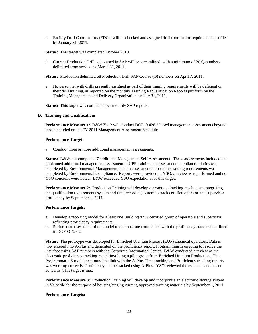c. Facility Drill Coordinators (FDCs) will be checked and assigned drill coordinator requirements profiles by January 31, 2011.

**Status:** This target was completed October 2010.

d. Current Production Drill codes used in SAP will be streamlined, with a minimum of 20 Q-numbers delimited from service by March 31, 2011.

**Status:** Production delimited 68 Production Drill SAP Course (Q) numbers on April 7, 2011.

e. No personnel with drills presently assigned as part of their training requirements will be deficient on their drill training, as reported on the monthly Training Requalification Reports put forth by the Training Management and Delivery Organization by July 31, 2011.

**Status:** This target was completed per monthly SAP reports.

#### **D. Training and Qualifications**

**Performance Measure 1:** B&W Y-12 will conduct DOE O 426.2 based management assessments beyond those included on the FY 2011 Management Assessment Schedule.

#### **Performance Target:**

a. Conduct three or more additional management assessments.

**Status:** B&W has completed 7 additional Management Self Assessments. These assessments included one unplanned additional management assessment in UPF training; an assessment on collateral duties was completed by Environmental Management; and an assessment on baseline training requirements was completed by Environmental Compliance. Reports were provided to YSO; a review was performed and no YSO concerns were noted. B&W exceeded YSO expectations for this target.

**Performance Measure 2:** Production Training will develop a prototype tracking mechanism integrating the qualification requirements system and time recording system to track certified operator and supervisor proficiency by September 1, 2011.

#### **Performance Targets:**

- a. Develop a reporting model for a least one Building 9212 certified group of operators and supervisor, reflecting proficiency requirements.
- b. Perform an assessment of the model to demonstrate compliance with the proficiency standards outlined in DOE O 426.2.

**Status:** The prototype was developed for Enriched Uranium Process (EUP) chemical operators. Data is now entered into A-Plus and generated on the proficiency report. Programming is ongoing to resolve the interface using SAP numbers with the Corporate Information Center. B&W conducted a review of the electronic proficiency tracking model involving a pilot group from Enriched Uranium Production. The Programmatic Surveillance found the link with the A-Plus Time tracking and Proficiency tracking reports was working correctly. Proficiency can be tracked using A-Plus. YSO reviewed the evidence and has no concerns. This target is met.

**Performance Measure 3**: Production Training will develop and incorporate an electronic storage system in Versatile for the purpose of housing/staging current, approved training materials by September 1, 2011.

#### **Performance Targets:**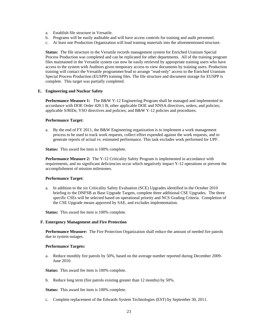- a. Establish file structure in Versatile.
- b. Programs will be easily auditable and will have access controls for training and audit personnel.
- c. At least one Production Organization will load training materials into the aforementioned structure.

**Status:** The file structure in the Versatile records management system for Enriched Uranium Special Process Production was completed and can be replicated for other departments. All of the training program files maintained in the Versatile system can now be easily retrieved by appropriate training users who have access to the system with Auditors given temporary access to view documents by training users. Production training will contact the Versatile programmer/lead to arrange "read-only" access to the Enriched Uranium Special Process Production (EUSPP) training files. The file structure and document storage for EUSPP is complete. This target was partially completed.

#### **E. Engineering and Nuclear Safety**

**Performance Measure 1:** The B&W Y-12 Engineering Program shall be managed and implemented in accordance with DOE Order 420.1 B, other applicable DOE and NNSA directives, orders, and policies; applicable S/RIDs; YSO directives and policies; and B&W Y-12 policies and procedures.

#### **Performance Target:**

a. By the end of FY 2011, the B&W Engineering organization is to implement a work management process to be used to track work requests, collect effort expended against the work requests, and to generate reports of actual vs. estimated performance. This task excludes work performed for UPF.

**Status:** This award fee item is 100% complete.

**Performance Measure 2:** The Y-12 Criticality Safety Program is implemented in accordance with requirements, and no significant deficiencies occur which negatively impact Y-12 operations or prevent the accomplishment of mission milestones.

## **Performance Target:**

a. In addition to the six Criticality Safety Evaluation (SCE) Upgrades identified in the October 2010 briefing to the DNFSB as Base Upgrade Targets, complete three additional CSE Upgrades. The three specific CSEs will be selected based on operational priority and NCS Grading Criteria. Completion of the CSE Upgrade means approved by SAE, and excludes implementation.

**Status:** This award fee item is 100% complete.

**F. Emergency Management and Fire Protection** 

 **Performance Measure:** The Fire Protection Organization shall reduce the amount of needed fire patrols due to system outages.

#### **Performance Targets:**

a. Reduce monthly fire patrols by 50%, based on the average number reported during December 2009- June 2010.

**Status:** This award fee item is 100% complete.

b. Reduce long term (fire patrols existing greater than 12 months) by 50%.

**Status:** This award fee item is 100% complete.

c. Complete replacement of the Edwards System Technologies (EST) by September 30, 2011.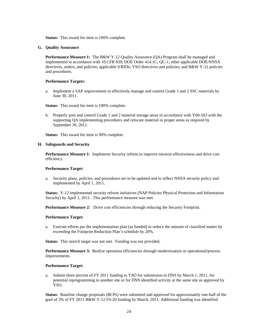**Status:** This award fee item is 100% complete.

#### **G. Quality Assurance**

**Performance Measure 1:** The B&W Y-12 Quality Assurance (QA) Program shall be managed and implemented in accordance with 10 CFR 830; DOE Order 414.1C; QC-1; other applicable DOE/NNSA directives, orders, and policies; applicable S/RIDs; YSO directives and policies; and B&W Y-12 policies and procedures.

#### **Performance Targets:**

a. Implement a SAP improvement to effectively manage and control Grade 1 and 2 SSC materials by June 30, 2011.

**Status:** This award fee item is 100% complete.

b. Properly post and control Grade 1 and 2 material storage areas in accordance with Y60-503 with the supporting QA implementing procedures and relocate material in proper areas as required by September 30, 2011.

**Status:** This award fee item is 90% complete.

#### **H. Safeguards and Security**

**Performance Measure 1:** Implement Security reform to improve mission effectiveness and drive cost efficiency.

#### **Performance Target:**

a. Security plans, policies, and procedures are to be updated and to reflect NNSA security policy and implemented by April 1, 2011.

**Status:** Y-12 implemented security reform initiatives (NAP Policies Physical Protection and Information Security) by April 1, 2011. This performance measure was met.

**Performance Measure 2:** Drive cost efficiencies through reducing the Security Footprint.

#### **Performance Target:**

a. Execute efforts per the implementation plan (as funded) to reduce the amount of classified matter by exceeding the Footprint Reduction Plan's schedule by 20%.

**Status:** This stretch target was not met. Funding was not provided.

**Performance Measure 3:** Realize operation efficiencies through modernization or operational/process improvements.

#### **Performance Target:**

a. Submit three percent of FY 2011 funding to YSO for submission to DNS by March 1, 2011, for potential reprogramming to another site or for DNS identified activity at the same site as approved by YSO.

**Status:** Baseline change proposals (BCPs) were submitted and approved for approximately one-half of the goal of 3% of FY 2011 B&W Y-12 FS-20 funding by March, 2011. Additional funding was identified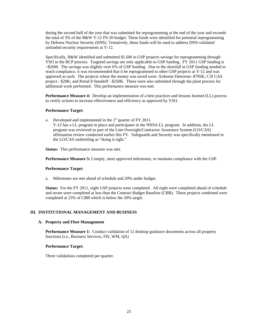during the second half of the year that was submitted for reprogramming at the end of the year and exceeds the total of 3% of the B&W Y-12 FS-20 budget. These funds were identified for potential reprogramming by Defense Nuclear Security (DNS). Tentatively, these funds will be used to address DNS-validated unfunded security requirements at Y-12.

Specifically, B&W identified and submitted \$1.6M in GSP projects savings for reprogramming through YSO in the BCP process. Targeted savings are only applicable to GSP funding. FY 2011 GSP funding is ~\$26M. The savings was slightly over 6% of GSP funding. Due to the shortfall in GSP funding needed to reach compliance, it was recommended that it be reprogrammed to other GSP projects at Y-12 and was approved as such. The projects where the money was saved were: Airborne Deterrent- \$795K; C3I CAS project - \$20K; and Portal 8 Standoff - \$250K. These were also submitted through the plant process for additional work performed. This performance measure was met.

**Performance Measure 4:** Develop an implementation of a best practices and lessons learned (LL) process to certify actions to increase effectiveness and efficiency as approved by YSO.

#### **Performance Target:**

a. Developed and implemented in the  $1<sup>st</sup>$  quarter of FY 2011.

Y-12 has a LL program in place and participates in the NNSA LL program. In addition, the LL program was reviewed as part of the Line Oversight/Contractor Assurance System (LO/CAS) affirmation review conducted earlier this FY. Safeguards and Security was specifically mentioned in the LO/CAS outbriefing as "doing it right."

**Status:** This performance measure was met.

**Performance Measure 5:** Comply, meet approved milestones, or maintain compliance with the GSP.

#### **Performance Target:**

a. Milestones are met ahead of schedule and 20% under budget.

**Status:** For the FY 2011, eight GSP projects were completed. All eight were completed ahead of schedule and seven were completed at less than the Contract Budget Baseline (CBB). These projects combined were completed at 23% of CBB which is below the 20% target.

## **III. INSTITUTIONAL MANAGEMENT AND BUSINESS**

#### **A. Property and Fleet Management**

**Performance Measure 1:** Conduct validation of 12 desktop guidance documents across all property functions (i.e., Business Services, FIS, WM, QA)

## **Performance Target:**

Three validations completed per quarter.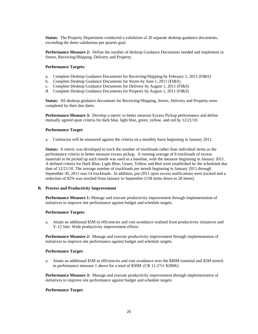**Status:** The Property Department conducted a validation of 20 separate desktop guidance documents, exceeding the three validations per quarter goal.

**Performance Measure 2:** Define the number of desktop Guidance Documents needed and implement in Stores, Receiving/Shipping, Delivery and Property.

## **Performance Targets:**

- a. Complete Desktop Guidance Documents for Receiving/Shipping by February 1, 2011 (FI&S)
- b. Complete Desktop Guidance Documents for Stores by June 1, 2011 (FI&S)
- c. Complete Desktop Guidance Documents for Delivery by August 1, 2011 (FI&S)
- d. Complete Desktop Guidance Documents for Property by August 1, 2011 (FI&S)

**Status:** All desktop guidance documents for Receiving/Shipping, Stores, Delivery and Property were completed by their due dates.

**Performance Measure 3:** Develop a metric to better measure Excess Pickup performance and define mutually agreed upon criteria for dark blue, light blue, green, yellow, and red by 12/21/10.

## **Performance Target:**

a. Contractor will be measured against the criteria on a monthly basis beginning in January 2011.

**Status:** A metric was developed to track the number of truckloads rather than individual items as the performance criteria to better measure excess pickup. A running average of 8 truckloads of excess materials to be picked up each month was used as a baseline, with the measure beginning in January 2011. A defined criteria for Dark Blue, Light Blue, Green, Yellow and Red were established by the scheduled due date of 12/21/10. The average number of truckloads per month beginning in January 2011 through September 30, 2011 was 14 truckloads. In addition, pre-2011 open excess notifications were tracked and a reduction of 82% was reached from January to September (158 items down to 28 items).

#### **B. Process and Productivity Improvement**

**Performance Measure 1:** Manage and execute productivity improvement through implementation of initiatives to improve site performance against budget and schedule targets.

#### **Performance Targets:**

a. Attain an additional \$5M in efficiencies and cost avoidance realized from productivity initiatives and Y-12 Site- Wide productivity improvement efforts.

**Performance Measure 2:** Manage and execute productivity improvement through implementation of initiatives to improve site performance against budget and schedule targets.

#### **Performance Target:**

a. Attain an additional \$5M in efficiencies and cost avoidance over the \$40M essential and \$5M stretch in performance measure 1 above for a total of \$50M. (CR 11-27r1 \$200K)

**Performance Measure 3:** Manage and execute productivity improvement through implementation of initiatives to improve site performance against budget and schedule targets.

#### **Performance Target:**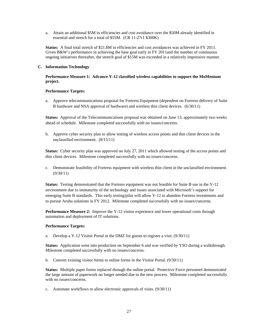a. Attain an additional \$5M in efficiencies and cost avoidance over the \$50M already identified in essential and stretch for a total of \$55M. (CR 11-27r1 \$300K)

**Status:** A final total stretch of \$21.8M in efficiencies and cost avoidances was achieved in FY 2011. Given B&W's performance in achieving the base goal early in FY 2011and the number of continuous ongoing initiatives thereafter, the stretch goal of \$15M was exceeded in a relatively impressive manner.

## **C. Information Technology**

## **Performance Measure 1: Advance Y-12 classified wireless capabilities to support the MoMentum project.**

#### **Performance Targets:**

a. Approve telecommunications proposal for Fortress Equipment (dependent on Fortress delivery of Suite B hardware and NSA approval of hardware) and wireless thin client devices. (6/30/11)

**Status:** Approval of the Telecommunications proposal was obtained on June 13; approximately two weeks ahead of schedule. Milestone completed successfully with no issues/concerns.

b. Approve cyber security plan to allow testing of wireless access points and thin client devices in the unclassified environment. (8/15/11)

**Status:** Cyber security plan was approved on July 27, 2011 which allowed testing of the access points and thin client devices. Milestone completed successfully with no issues/concerns.

c. Demonstrate feasibility of Fortress equipment with wireless thin client in the unclassified environment. (9/30/11)

**Status:** Testing demonstrated that the Fortress equipment was not feasible for Suite B use in the Y-12 environment due to immaturity of the technology and issues associated with Microsoft's support for emerging Suite B standards. This early testing/pilot will allow Y-12 to abandon Fortress investments and to pursue Aruba solutions in FY 2012. Milestone completed successfully with no issues/concerns.

**Performance Measure 2:** Improve the Y-12 visitor experience and lower operational costs through automation and deployment of IT solutions.

#### **Performance Targets:**

a. Develop a Y-12 Visitor Portal in the DMZ for guests to register a visit. (9/30/11)

**Status:** Application went into production on September 6 and was verified by YSO during a walkthrough. Milestone completed successfully with no issues/concerns.

b. Convert existing visitor forms to online forms in the Visitor Portal. (9/30/11)

**Status:** Multiple paper forms replaced through the online portal. Protective Force personnel demonstrated the large amount of paperwork no longer needed due to the new process. Milestone completed successfully with no issues/concerns.

c. Automate workflows to allow electronic approvals of visits. (9/30/11)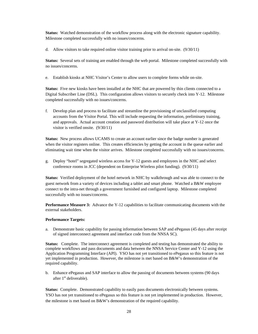**Status:** Watched demonstration of the workflow process along with the electronic signature capability. Milestone completed successfully with no issues/concerns.

d. Allow visitors to take required online visitor training prior to arrival on-site. (9/30/11)

**Status:** Several sets of training are enabled through the web portal. Milestone completed successfully with no issues/concerns.

e. Establish kiosks at NHC Visitor's Center to allow users to complete forms while on-site.

**Status:** Five new kiosks have been installed at the NHC that are powered by thin clients connected to a Digital Subscriber Line (DSL). This configuration allows visitors to securely check into Y-12. Milestone completed successfully with no issues/concerns.

f. Develop plan and process to facilitate and streamline the provisioning of unclassified computing accounts from the Visitor Portal. This will include requesting the information, preliminary training, and approvals. Actual account creation and password distribution will take place at Y-12 once the visitor is verified onsite. (9/30/11)

**Status:** New process allows UCAMS to create an account earlier since the badge number is generated when the visitor registers online. This creates efficiencies by getting the account in the queue earlier and eliminating wait time when the visitor arrives. Milestone completed successfully with no issues/concerns.

g. Deploy "hotel" segregated wireless access for Y-12 guests and employees in the NHC and select conference rooms in JCC (dependent on Enterprise Wireless pilot funding). (9/30/11)

**Status:** Verified deployment of the hotel network in NHC by walkthrough and was able to connect to the guest network from a variety of devices including a tablet and smart phone. Watched a B&W employee connect to the intra-net through a government furnished and configured laptop. Milestone completed successfully with no issues/concerns.

**Performance Measure 3:** Advance the Y-12 capabilities to facilitate communicating documents with the external stakeholders.

#### **Performance Targets:**

a. Demonstrate basic capability for passing information between SAP and ePegasus (45 days after receipt of signed interconnect agreement and interface code from the NNSA SC).

**Status:** Complete. The interconnect agreement is completed and testing has demonstrated the ability to complete workflows and pass documents and data between the NNSA Service Center and Y-12 using the Application Programming Interface (API). YSO has not yet transitioned to ePegasus so this feature is not yet implemented in production. However, the milestone is met based on B&W's demonstration of the required capability.

b. Enhance ePegasus and SAP interface to allow the passing of documents between systems (90 days after 1<sup>st</sup> deliverable).

**Status:** Complete. Demonstrated capability to easily pass documents electronically between systems. YSO has not yet transitioned to ePegasus so this feature is not yet implemented in production. However, the milestone is met based on B&W's demonstration of the required capability.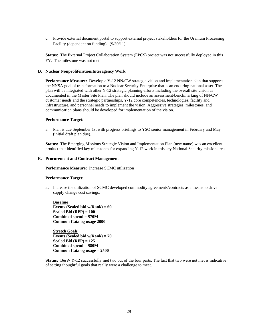c. Provide external document portal to support external project stakeholders for the Uranium Processing Facility (dependent on funding). (9/30/11)

**Status:** The External Project Collaboration System (EPCS) project was not successfully deployed in this FY. The milestone was not met.

#### **D. Nuclear Nonproliferation/Interagency Work**

**Performance Measure:** Develop a Y-12 NN/CW strategic vision and implementation plan that supports the NNSA goal of transformation to a Nuclear Security Enterprise that is an enduring national asset. The plan will be integrated with other Y-12 strategic planning efforts including the overall site vision as documented in the Master Site Plan. The plan should include an assessment/benchmarking of NN/CW customer needs and the strategic partnerships, Y-12 core competencies, technologies, facility and infrastructure, and personnel needs to implement the vision. Aggressive strategies, milestones, and communication plans should be developed for implementation of the vision.

#### **Performance Target**:

a. Plan is due September 1st with progress briefings to YSO senior management in February and May (initial draft plan due).

 **Status:** The Emerging Missions Strategic Vision and Implementation Plan (new name) was an excellent product that identified key milestones for expanding Y-12 work in this key National Security mission area.

#### **E. Procurement and Contract Management**

 **Performance Measure:** Increase SCMC utilization

#### **Performance Target:**

**a.** Increase the utilization of SCMC developed commodity agreements/contracts as a means to drive supply change cost savings.

**Baseline Events (Sealed bid w/Rank) = 60 Sealed Bid (RFP) = 100 Combined spend = \$70M Common Catalog usage 2000** 

 **Stretch Goals Events (Sealed bid w/Rank) = 70 Sealed Bid (RFP) = 125 Combined spend = \$80M Common Catalog usage = 2500** 

**Status:** B&W Y-12 successfully met two out of the four parts. The fact that two were not met is indicative of setting thoughtful goals that really were a challenge to meet.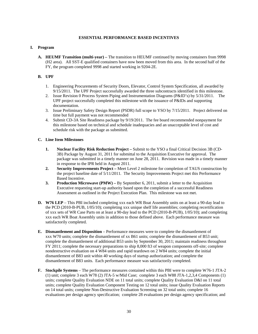## **ESSENTIAL PERFORMANCE BASED INCENTIVES**

## **I. Program**

**A. HEUMF Transition (multi-year) –** The transition to HEUMF continued by moving containers from 9998 (H2 area). All SST-E qualified containers have now been moved from this area. In the second half of the FY, the program completed 9998 and started working in 9204-2E.

## **B. UPF**

- 1. Engineering Procurements of Security Doors, Elevator, Control System Specification, all awarded by 9/15/2011. The UPF Project successfully awarded the three subcontracts identified in this milestone.
- 2. Issue Revision 0 Process System Piping and Instrumentation Diagrams (P&ID's) by 5/31/2011. The UPF project successfully completed this milestone with the issuance of P&IDs and supporting documentation.
- 3. Issue Preliminary Safety Design Report (PSDR) full scope to YSO by 7/15/2011. Project delivered on time but full payment was not recommended
- 4. Submit CD-3A Site Readiness package by 9/19/2011. The fee board recommended nonpayment for this milestone based on technical and schedule inadequacies and an unacceptable level of cost and schedule risk with the package as submitted.

## **C. Line Item Milestones**

- **1. Nuclear Facility Risk Reduction Project** Submit to the YSO a final Critical Decision 3B (CD-3B) Package by August 31, 2011 for submittal to the Acquisition Executive for approval. The package was submitted in a timely manner on June 28, 2011. Revision was made in a timely manner in response to the IPR held in August 2011.
- **2. Security Improvements Project** Meet Level 2 milestone for completion of TAUS construction by the project baseline date of 5/11/2011*.* The Security Improvements Project met this Performance Based Incentive.
- **3. Production Microwave (PMW)** By September 6, 2011, submit a letter to the Acquisition Executive requesting start-up authority based upon the completion of a successful Readiness Assessment as outlined in the Project Execution Plan. This milestone was not met.
- **D. W76 LEP**  This PBI included completing xxx each WR Boat Assembly units on at least a 90-day lead to the PCD (2010-B-PUB, 1/05/10); completing xxx unique shelf life assemblies; completing recertification of xxx sets of WR Case Parts on at least a 90-day lead to the PCD (2010-B-PUB), 1/05/10); and completing xxx each WR Boat Assembly units in addition to those defined above. Each performance measure was satisfactorily completed.
- **E. Dismantlement and Disposition**  Performance measures were to complete the dismantlement of xxx W70 units; complete the dismantlement of xx B61 units; complete the dismantlement of B53 unit; complete the dismantlement of additional B53 units by September 30, 2011; maintain readiness throughout FY 2011; complete the necessary preparations to ship 8,000 ft3 of weapon components off-site; complete nondestructive evaluation on 4 W84 units and rapid teardown on 2 W84 units; complete the initial dismantlement of B83 unit within 40 working days of startup authorization; and complete the dismantlement of B83 units. Each performance measure was satisfactorily completed.
- **F. Stockpile Systems**  The performance measures contained within this PBI were to complete W76-1 JTA-2 (1) unit; complete 3 each W78 (2) JTA-5 w/Mid Case; complete 3 each W88 JTA-1,2,3,4 Components (1) units; complete Quality Evaluation NDE on 11 total units; complete Quality Evaluation D&I on 11 total units; complete Quality Evaluation Component Testing on 12 total units; issue Quality Evaluation Reports on 14 total units; complete Non-Destructive Evaluation Screening on 32 total units; complete 16 evaluations per design agency specification; complete 28 evaluations per design agency specification; and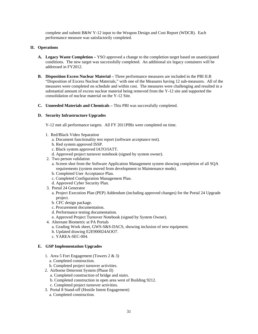complete and submit B&W Y-12 input to the Weapon Design and Cost Report (WDCR). Each performance measure was satisfactorily completed.

## **II. Operations**

- **A. Legacy Waste Completion** YSO approved a change to the completion target based on unanticipated conditions. The new target was successfully completed. An additional six legacy containers will be addressed in FY2012.
- **B. Disposition Excess Nuclear Material** Three performance measures are included in the PBI II.B "Disposition of Excess Nuclear Materials," with one of the Measures having 12 sub-measures. All of the measures were completed on schedule and within cost. The measures were challenging and resulted in a substantial amount of excess nuclear material being removed from the Y-12 site and supported the consolidation of nuclear material on the Y-12 Site.
- **C. Unneeded Materials and Chemicals** This PBI was successfully completed.

#### **D. Security Infrastructure Upgrades**

Y-12 met all performance targets. All FY 2011PBIs were completed on time.

- 1. Red/Black Video Separation
	- a. Document functionality test report (software acceptance test).
	- b. Red system approved ISSP.
	- c. Black system approved IATO/IATT.
	- d. Approved project turnover notebook (signed by system owner).
- 2. Two person validation
	- a. Screen shot from the Software Application Management system showing completion of all SQA requirements (system moved from development to Maintenance mode).
	- b. Completed User Acceptance Plan.
	- c. Completed Configuration Management Plan.
	- d. Approved Cyber Security Plan.
- 3. Portal 24 Generator
	- a. Project Execution Plan (PEP) Addendum (including approved changes) for the Portal 24 Upgrade project.
	- b. CFC design package.
	- c. Procurement documentation.
	- d. Performance testing documentation.
	- e. Approved Project Turnover Notebook (signed by System Owner).
- 4. Alternate Biometric at PA Portals
	- a. Grading Work sheet, GWS-S&S-DACS, showing inclusion of new equipment.
	- b. Updated drawing E2E900024AOO7.
	- c. YAREA-SEC-004.

## **E. GSP Implementation Upgrades**

- 1. Area 5 Fort Engagement (Towers 2 & 3)
	- a. Completed construction.
	- b. Completed project turnover activities.
- 2. Airborne Deterrent System (Phase II)
	- a. Completed construction of bridge and stairs.
	- b. Completed construction in open area west of Building 9212.
	- c. Completed project turnover activities.
- 3. Portal 8 Stand-off (Hostile Intent Engagement)
	- a. Completed construction.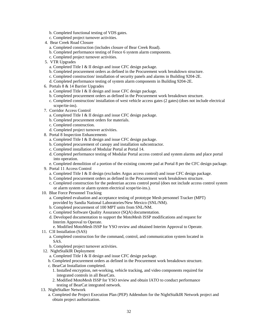- b. Completed functional testing of VDS gates.
- c. Completed project turnover activities.
- 4. Bear Creek Road Closure
	- a. Completed construction (includes closure of Bear Creek Road).
	- b. Completed performance testing of Fence 6 system alarm components.
	- c. Completed project turnover activities.
- 5. VTR Upgrades
	- a. Completed Title I & II design and issue CFC design package.
	- b. Completed procurement orders as defined in the Procurement work breakdown structure.
	- c. Completed construction/ installation of security panels and alarms in Building 9204-2E.
	- d. Completed performance testing of system alarm components in Building 9204-2E.
- 6. Portals 8 & 14 Barrier Upgrades
	- a. Completed Title I & II design and issue CFC design package.
	- b. Completed procurement orders as defined in the Procurement work breakdown structure.
	- c. Completed construction/ installation of west vehicle access gates (2 gates) (does not include electrical scope/tie-ins).
- 7. Corridor Access Control
	- a. Completed Title I & II design and issue CFC design package.
	- b. Completed procurement orders for materials.
	- c. Completed construction.
	- d. Completed project turnover activities.
- 8. Portal 8 Inspection Enhancements
	- a. Completed Title I & II design and issue CFC design package.
	- b. Completed procurement of canopy and installation subcontractor.
	- c. Completed installation of Modular Portal at Portal 14.
	- d. Completed performance testing of Modular Portal access control and system alarms and place portal into operation.
	- e. Completed demolition of a portion of the existing concrete pad at Portal 8 per the CFC design package.
- 9. Portal 11 Access Control
	- a. Completed Title I & II design (excludes Argus access control) and issue CFC design package.
	- b. Completed procurement orders as defined in the Procurement work breakdown structure.
	- c. Completed construction for the pedestrian access control portal (does not include access control system or alarm system or alarm system electrical scope/tie-ins.).
- 10. Blue Force Personnel Tracking
	- a. Completed evaluation and acceptance testing of prototype Mesh personnel Tracker (MPT) provided by Sandia National Laboratories/New Mexico (SNL/NM).
	- b. Completed procurement of 100 MPT units from SNL/NM.
	- c. Completed Software Quality Assurance (SQA) documentation.
	- d. Developed documentation to support the MotoMesh ISSP modifications and request for Interim Approval to Operate.
		- e. Modified MotoMesh ISSP for YSO review and obtained Interim Approval to Operate.
- 11. C3I Installation (SAS)
	- a. Completed construction for the command, control, and communication system located in SAS.
	- b. Completed project turnover activities.
- 12. NightStalkIR Deployment
	- a. Completed Title I & II design and issue CFC design package.
	- b. Completed procurement orders as defined in the Procurement work breakdown structure.
	- c. BearCat Installation completed.
		- 1. Installed encryption, net-working, vehicle tracking, and video components required for integrated controls in all BearCats.
		- 2. Modified MotoMesh ISSP for YSO review and obtain IATO to conduct performance testing of BearCat integrated network.
- 13. NightStalker Network
	- a. Completed the Project Execution Plan (PEP) Addendum for the NightStalkIR Network project and obtain project authorization.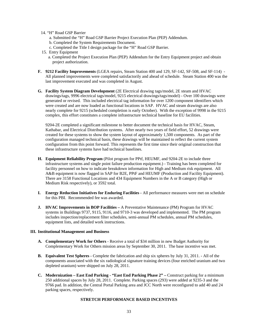- 14. "H" Road GSP Barrier
	- a. Submitted the "H" Road GSP Barrier Project Execution Plan (PEP) Addendum.
	- b. Completed the System Requirements Document.
	- c. Completed the Title I design package for the "H" Road GSP Barrier.
- 15. Entry Equipment
	- a. Completed the Project Execution Plan (PEP) Addendum for the Entry Equipment project and obtain project authorization.
- **F. 9212 Facility Improvements** (LGEA repairs, Steam Station 400 and 129, SF-142, SF-508, and SF-114) All planned improvements were completed satisfactorily and ahead of schedule. Steam Station 400 was the last improvement executed and was completed in August.
- **G. Facility System Diagram Development** (2E Electrical drawing tags/model, 2E steam and HVAC drawings/tags, 9996 electrical tags/model, 9215 electrical drawings/tags/model) - Over 100 drawings were generated or revised. This included electrical tag information for over 1200 component identifiers which were created and are now loaded as functional locations in SAP. HVAC and steam drawings are also nearly complete for 9215 (scheduled completion is early October). With the exception of 9998 in the 9215 complex, this effort constitutes a complete infrastructure technical baseline for EU facilities.

9204-2E completed a significant milestone to better document the technical basis for HVAC, Steam, Kathabar, and Electrical Distribution systems. After nearly two years of field effort, 52 drawings were created for these systems to show the system layout of approximately 1,500 components. As part of the configuration managed technical basis, these drawings will be maintained to reflect the current system configuration from this point forward. This represents the first time since their original construction that these infrastructure systems have had technical baselines.

- **H. Equipment Reliability Program** (Pilot program for PPtf, HEUMF, and 9204-2E to include three infrastructure systems and single point failure production equipment.) - Training has been completed for facility personnel on how to indicate breakdown information for High and Medium risk equipment. All A&B equipment is now flagged in SAP for B2E, PPtF and HEUMF (Production and Facility Equipment). There are 3158 Functional Locations and 434 Equipment Numbers in the A or B category (High or Medium Risk respectively), or 3592 total.
- **I. Energy Reduction Initiatives for Enduring Facilities** All performance measures were met on schedule for this PBI. Recommended fee was awarded.
- **J. HVAC Improvements in BOP Facilities** A Preventative Maintenance (PM) Program for HVAC systems in Buildings 9737, 9115, 9116, and 9710-3 was developed and implemented. The PM program includes inspection/replacement filter schedules, semi-annual PM schedules, annual PM schedules, equipment lists, and detailed work instructions.

## **III. Institutional Management and Business**

- **A. Complementary Work for Others** Receive a total of \$34 million in new Budget Authority for Complementary Work for Others mission areas by September 30, 2011. The base incentive was met.
- **B. Equivalent Test Spheres** Complete the fabrication and ship six spheres by July 31, 2011. All of the components associated with the six radiological signature training devices (four enriched uranium and two depleted uranium) were shipped on July 28, 2011.
- **C. Modernization East End Parking "East End Parking Phase 2"** Construct parking for a minimum 250 additional spaces by July 28, 2011. Complete. Parking spaces (293) were added at 9235-3 and the 9766 pad. In addition, the Central Portal Parking area and JCC North were reconfigured to add 40 and 24 parking spaces, respectively.

## **STRETCH PERFORMANCE BASED INCENTIVES**